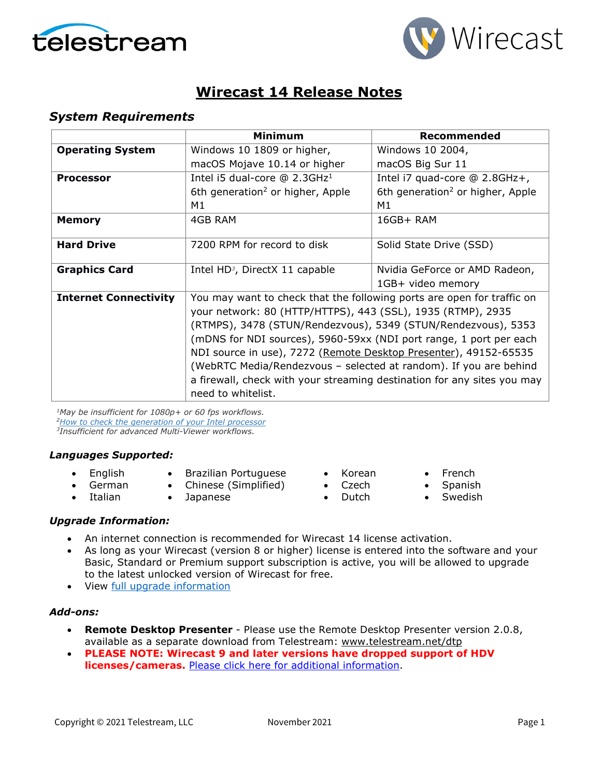



# **Wirecast 14 Release Notes**

### *System Requirements*

|                              | <b>Minimum</b>                                                                                                                                                                                                                                                                                                                                                                                                                                                                                                                              | Recommended                                  |
|------------------------------|---------------------------------------------------------------------------------------------------------------------------------------------------------------------------------------------------------------------------------------------------------------------------------------------------------------------------------------------------------------------------------------------------------------------------------------------------------------------------------------------------------------------------------------------|----------------------------------------------|
| <b>Operating System</b>      | Windows 10 1809 or higher,                                                                                                                                                                                                                                                                                                                                                                                                                                                                                                                  | Windows 10 2004,                             |
|                              | macOS Mojave 10.14 or higher                                                                                                                                                                                                                                                                                                                                                                                                                                                                                                                | macOS Big Sur 11                             |
| <b>Processor</b>             | Intel i5 dual-core $@$ 2.3GHz <sup>1</sup>                                                                                                                                                                                                                                                                                                                                                                                                                                                                                                  | Intel i7 quad-core @ 2.8GHz+,                |
|                              | 6th generation <sup>2</sup> or higher, Apple                                                                                                                                                                                                                                                                                                                                                                                                                                                                                                | 6th generation <sup>2</sup> or higher, Apple |
|                              | М1                                                                                                                                                                                                                                                                                                                                                                                                                                                                                                                                          | M1                                           |
| <b>Memory</b>                | 4GB RAM                                                                                                                                                                                                                                                                                                                                                                                                                                                                                                                                     | $16GB+ RAM$                                  |
| <b>Hard Drive</b>            | 7200 RPM for record to disk                                                                                                                                                                                                                                                                                                                                                                                                                                                                                                                 | Solid State Drive (SSD)                      |
| <b>Graphics Card</b>         | Intel HD <sup>3</sup> , DirectX 11 capable                                                                                                                                                                                                                                                                                                                                                                                                                                                                                                  | Nvidia GeForce or AMD Radeon,                |
| <b>Internet Connectivity</b> | 1GB+ video memory<br>You may want to check that the following ports are open for traffic on<br>your network: 80 (HTTP/HTTPS), 443 (SSL), 1935 (RTMP), 2935<br>(RTMPS), 3478 (STUN/Rendezvous), 5349 (STUN/Rendezvous), 5353<br>(mDNS for NDI sources), 5960-59xx (NDI port range, 1 port per each<br>NDI source in use), 7272 (Remote Desktop Presenter), 49152-65535<br>(WebRTC Media/Rendezvous – selected at random). If you are behind<br>a firewall, check with your streaming destination for any sites you may<br>need to whitelist. |                                              |

*1May be insufficient for 1080p+ or 60 fps workflows. [2How to check the generation of your Intel](http://www.telestream.net/telestream-support/wire-cast/faq.htm?kbURL=http://telestream.force.com/kb/articles/Knowledge_Article/Wirecast-How-to-check-the-generation-of-your-Intel-processor/) processor*

*3Insufficient for advanced Multi-Viewer workflows.*

#### *Languages Supported:*

- English
- Brazilian Portuguese
- German • Italian
- Chinese (Simplified)
- Japanese
- Korean • Czech
- French
- **Spanish**
- Dutch
- Swedish

## *Upgrade Information:*

- An internet connection is recommended for Wirecast 14 license activation.
- As long as your Wirecast (version 8 or higher) license is entered into the software and your Basic, Standard or Premium support subscription is active, you will be allowed to upgrade to the latest unlocked version of Wirecast for free.
- View [full upgrade information](http://www.telestream.net/wirecast/upgrade.htm#update)

## *Add-ons:*

- **Remote Desktop Presenter**  Please use the Remote Desktop Presenter version 2.0.8, available as a separate download from Telestream: [www.telestream.net/dtp](http://www.telestream.net/dtp)
- **PLEASE NOTE: Wirecast 9 and later versions have dropped support of HDV licenses/cameras.** [Please click here for additional information.](http://www.telestream.net/telestream-support/wire-cast/faq.htm?kbURL=http://telestream.force.com/kb/articles/Knowledge_Article/Wirecast-HDV-Firewire-No-longer-Supported/)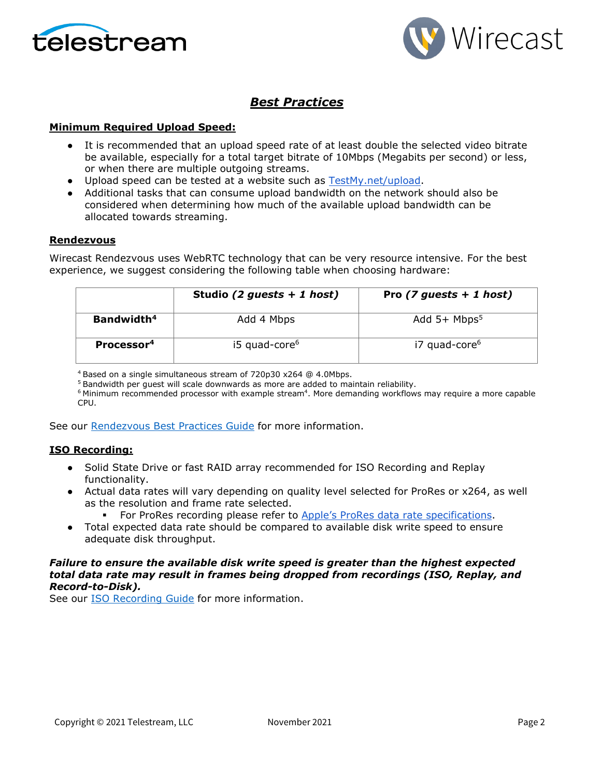



## *Best Practices*

#### **Minimum Required Upload Speed:**

- It is recommended that an upload speed rate of at least double the selected video bitrate be available, especially for a total target bitrate of 10Mbps (Megabits per second) or less, or when there are multiple outgoing streams.
- Upload speed can be tested at a website such as [TestMy.net/upload.](http://testmy.net/upload)
- Additional tasks that can consume upload bandwidth on the network should also be considered when determining how much of the available upload bandwidth can be allocated towards streaming.

#### **Rendezvous**

Wirecast Rendezvous uses WebRTC technology that can be very resource intensive. For the best experience, we suggest considering the following table when choosing hardware:

|                        | Studio (2 guests $+ 1$ host) | Pro $(7 \text{ guests} + 1 \text{ host})$ |
|------------------------|------------------------------|-------------------------------------------|
| Bandwidth <sup>4</sup> | Add 4 Mbps                   | Add $5+$ Mbps <sup>5</sup>                |
| Processor <sup>4</sup> | i5 quad-core <sup>6</sup>    | i7 quad-core <sup>6</sup>                 |

<sup>4</sup> Based on a single simultaneous stream of 720p30 x264 @ 4.0Mbps.

<sup>5</sup> Bandwidth per guest will scale downwards as more are added to maintain reliability.

 $6$  Minimum recommended processor with example stream $4$ . More demanding workflows may require a more capable CPU.

See our [Rendezvous Best Practices Guide](http://www.telestream.net/pdfs/technical/Wirecast-Rendezvous-Best-Practices-Guide.pdf) for more information.

#### **ISO Recording:**

- Solid State Drive or fast RAID array recommended for ISO Recording and Replay functionality.
- Actual data rates will vary depending on quality level selected for ProRes or x264, as well as the resolution and frame rate selected.
	- For ProRes recording please refer to [Apple's ProRes data rate specifications.](https://en.wikipedia.org/wiki/Apple_ProRes#ProRes-Overview)
- Total expected data rate should be compared to available disk write speed to ensure adequate disk throughput.

#### *Failure to ensure the available disk write speed is greater than the highest expected total data rate may result in frames being dropped from recordings (ISO, Replay, and Record-to-Disk).*

See our [ISO Recording Guide](https://www.telestream.net/pdfs/technical/Wirecast-ISO-Best-Practices-Guide.pdf) for more information.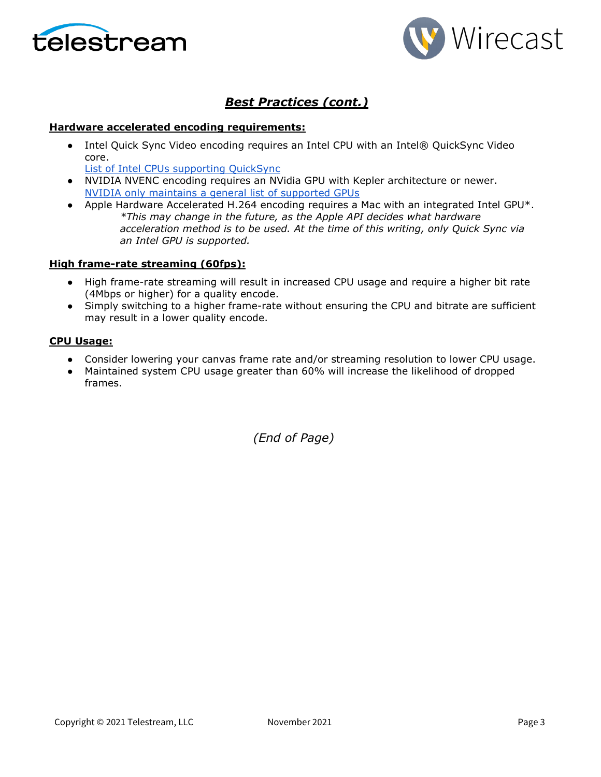



# *Best Practices (cont.)*

#### **Hardware accelerated encoding requirements:**

• Intel Quick Sync Video encoding requires an Intel CPU with an Intel® QuickSync Video core[.](http://ark.intel.com/search/advanced?QuickSyncVideo=true&MarketSegment=DT)

[List of Intel CPUs supporting QuickSync](https://ark.intel.com/content/www/us/en/ark/search/featurefilter.html?productType=873&0_QuickSyncVideo=True)

- NVIDIA NVENC encoding requires an NVidia GPU with Kepler architecture or newer[.](https://developer.nvidia.com/nvidia-video-codec-sdk) [NVIDIA only maintains a general list of supported GPUs](https://developer.nvidia.com/nvidia-video-codec-sdk)
- Apple Hardware Accelerated H.264 encoding requires a Mac with an integrated Intel GPU\*. *\*This may change in the future, as the Apple API decides what hardware acceleration method is to be used. At the time of this writing, only Quick Sync via an Intel GPU is supported.*

#### **High frame-rate streaming (60fps):**

- High frame-rate streaming will result in increased CPU usage and require a higher bit rate (4Mbps or higher) for a quality encode.
- Simply switching to a higher frame-rate without ensuring the CPU and bitrate are sufficient may result in a lower quality encode.

#### **CPU Usage:**

- Consider lowering your canvas frame rate and/or streaming resolution to lower CPU usage.
- Maintained system CPU usage greater than 60% will increase the likelihood of dropped frames.

*(End of Page)*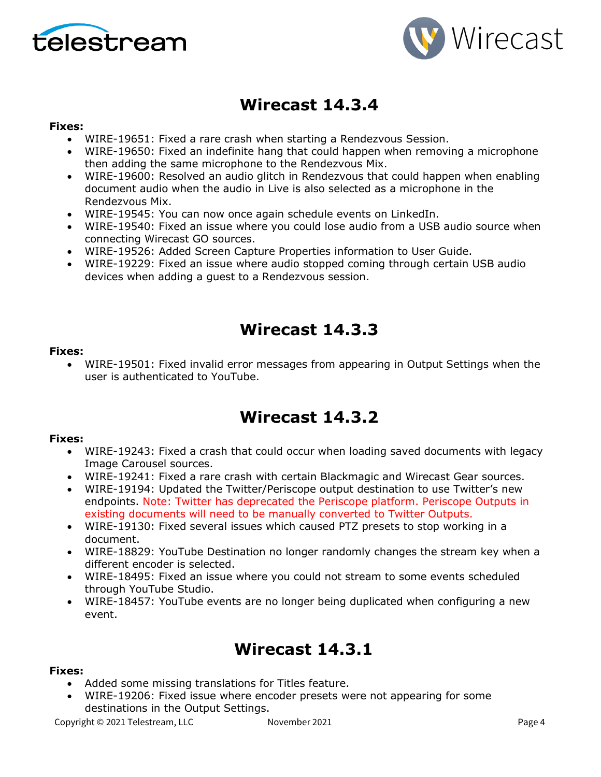



# **Wirecast 14.3.4**

### **Fixes:**

- WIRE-19651: Fixed a rare crash when starting a Rendezvous Session.
- WIRE-19650: Fixed an indefinite hang that could happen when removing a microphone then adding the same microphone to the Rendezvous Mix.
- WIRE-19600: Resolved an audio glitch in Rendezvous that could happen when enabling document audio when the audio in Live is also selected as a microphone in the Rendezvous Mix.
- WIRE-19545: You can now once again schedule events on LinkedIn.
- WIRE-19540: Fixed an issue where you could lose audio from a USB audio source when connecting Wirecast GO sources.
- WIRE-19526: Added Screen Capture Properties information to User Guide.
- WIRE-19229: Fixed an issue where audio stopped coming through certain USB audio devices when adding a guest to a Rendezvous session.

# **Wirecast 14.3.3**

### **Fixes:**

• WIRE-19501: Fixed invalid error messages from appearing in Output Settings when the user is authenticated to YouTube.

# **Wirecast 14.3.2**

### **Fixes:**

- WIRE-19243: Fixed a crash that could occur when loading saved documents with legacy Image Carousel sources.
- WIRE-19241: Fixed a rare crash with certain Blackmagic and Wirecast Gear sources.
- WIRE-19194: Updated the Twitter/Periscope output destination to use Twitter's new endpoints. Note: Twitter has deprecated the Periscope platform. Periscope Outputs in existing documents will need to be manually converted to Twitter Outputs.
- WIRE-19130: Fixed several issues which caused PTZ presets to stop working in a document.
- WIRE-18829: YouTube Destination no longer randomly changes the stream key when a different encoder is selected.
- WIRE-18495: Fixed an issue where you could not stream to some events scheduled through YouTube Studio.
- WIRE-18457: YouTube events are no longer being duplicated when configuring a new event.

# **Wirecast 14.3.1**

### **Fixes:**

- Added some missing translations for Titles feature.
- WIRE-19206: Fixed issue where encoder presets were not appearing for some destinations in the Output Settings.

Copyright © 2021 Telestream, LLC November 2021 Page 4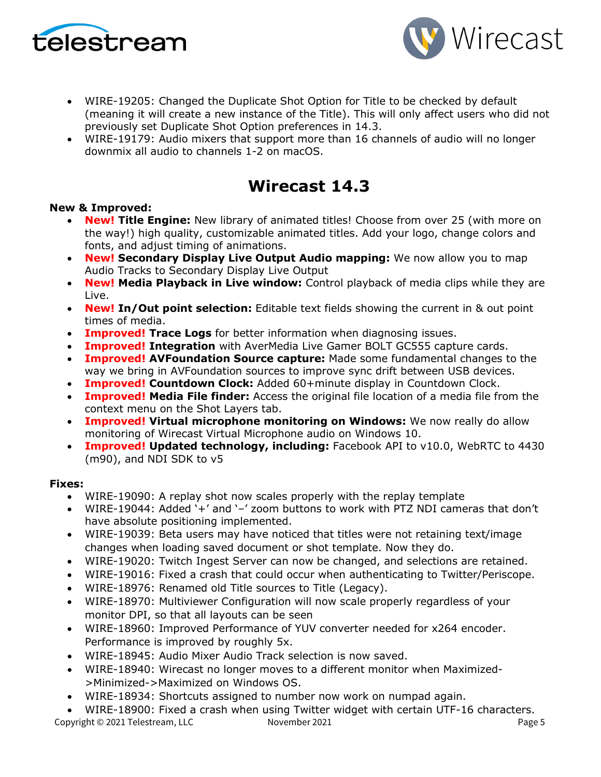



- WIRE-19205: Changed the Duplicate Shot Option for Title to be checked by default (meaning it will create a new instance of the Title). This will only affect users who did not previously set Duplicate Shot Option preferences in 14.3.
- WIRE-19179: Audio mixers that support more than 16 channels of audio will no longer downmix all audio to channels 1-2 on macOS.

# **Wirecast 14.3**

### **New & Improved:**

- **New! Title Engine:** New library of animated titles! Choose from over 25 (with more on the way!) high quality, customizable animated titles. Add your logo, change colors and fonts, and adjust timing of animations.
- **New! Secondary Display Live Output Audio mapping:** We now allow you to map Audio Tracks to Secondary Display Live Output
- **New! Media Playback in Live window:** Control playback of media clips while they are Live.
- **New! In/Out point selection:** Editable text fields showing the current in & out point times of media.
- **Improved! Trace Logs** for better information when diagnosing issues.
- **Improved! Integration** with AverMedia Live Gamer BOLT GC555 capture cards.
- **Improved! AVFoundation Source capture:** Made some fundamental changes to the way we bring in AVFoundation sources to improve sync drift between USB devices.
- **Improved! Countdown Clock:** Added 60+minute display in Countdown Clock.
- **Improved! Media File finder:** Access the original file location of a media file from the context menu on the Shot Layers tab.
- **Improved! Virtual microphone monitoring on Windows:** We now really do allow monitoring of Wirecast Virtual Microphone audio on Windows 10.
- **Improved! Updated technology, including:** Facebook API to v10.0, WebRTC to 4430 (m90), and NDI SDK to v5

- WIRE-19090: A replay shot now scales properly with the replay template
- WIRE-19044: Added '+' and '–' zoom buttons to work with PTZ NDI cameras that don't have absolute positioning implemented.
- WIRE-19039: Beta users may have noticed that titles were not retaining text/image changes when loading saved document or shot template. Now they do.
- WIRE-19020: Twitch Ingest Server can now be changed, and selections are retained.
- WIRE-19016: Fixed a crash that could occur when authenticating to Twitter/Periscope.
- WIRE-18976: Renamed old Title sources to Title (Legacy).
- WIRE-18970: Multiviewer Configuration will now scale properly regardless of your monitor DPI, so that all layouts can be seen
- WIRE-18960: Improved Performance of YUV converter needed for x264 encoder. Performance is improved by roughly 5x.
- WIRE-18945: Audio Mixer Audio Track selection is now saved.
- WIRE-18940: Wirecast no longer moves to a different monitor when Maximized- >Minimized->Maximized on Windows OS.
- WIRE-18934: Shortcuts assigned to number now work on numpad again.
- Copyright © 2021 Telestream, LLC November 2021 November 2021 • WIRE-18900: Fixed a crash when using Twitter widget with certain UTF-16 characters.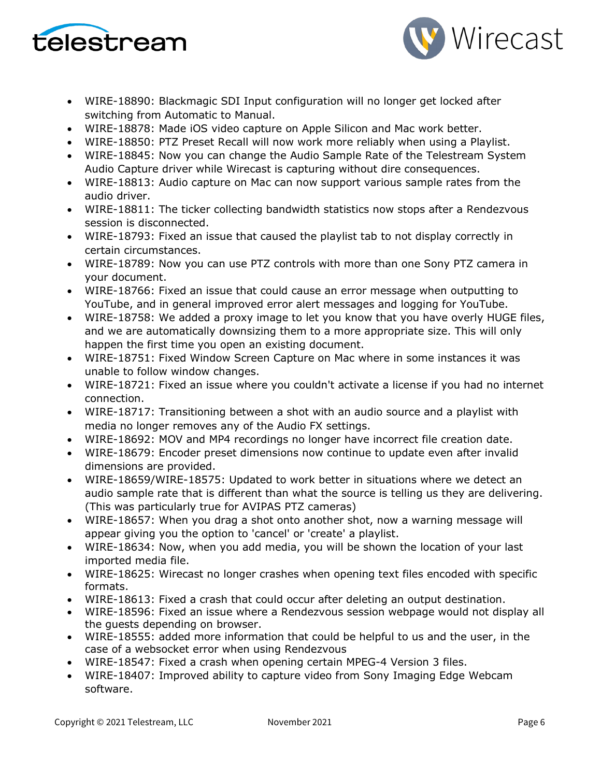



- WIRE-18890: Blackmagic SDI Input configuration will no longer get locked after switching from Automatic to Manual.
- WIRE-18878: Made iOS video capture on Apple Silicon and Mac work better.
- WIRE-18850: PTZ Preset Recall will now work more reliably when using a Playlist.
- WIRE-18845: Now you can change the Audio Sample Rate of the Telestream System Audio Capture driver while Wirecast is capturing without dire consequences.
- WIRE-18813: Audio capture on Mac can now support various sample rates from the audio driver.
- WIRE-18811: The ticker collecting bandwidth statistics now stops after a Rendezvous session is disconnected.
- WIRE-18793: Fixed an issue that caused the playlist tab to not display correctly in certain circumstances.
- WIRE-18789: Now you can use PTZ controls with more than one Sony PTZ camera in your document.
- WIRE-18766: Fixed an issue that could cause an error message when outputting to YouTube, and in general improved error alert messages and logging for YouTube.
- WIRE-18758: We added a proxy image to let you know that you have overly HUGE files, and we are automatically downsizing them to a more appropriate size. This will only happen the first time you open an existing document.
- WIRE-18751: Fixed Window Screen Capture on Mac where in some instances it was unable to follow window changes.
- WIRE-18721: Fixed an issue where you couldn't activate a license if you had no internet connection.
- WIRE-18717: Transitioning between a shot with an audio source and a playlist with media no longer removes any of the Audio FX settings.
- WIRE-18692: MOV and MP4 recordings no longer have incorrect file creation date.
- WIRE-18679: Encoder preset dimensions now continue to update even after invalid dimensions are provided.
- WIRE-18659/WIRE-18575: Updated to work better in situations where we detect an audio sample rate that is different than what the source is telling us they are delivering. (This was particularly true for AVIPAS PTZ cameras)
- WIRE-18657: When you drag a shot onto another shot, now a warning message will appear giving you the option to 'cancel' or 'create' a playlist.
- WIRE-18634: Now, when you add media, you will be shown the location of your last imported media file.
- WIRE-18625: Wirecast no longer crashes when opening text files encoded with specific formats.
- WIRE-18613: Fixed a crash that could occur after deleting an output destination.
- WIRE-18596: Fixed an issue where a Rendezvous session webpage would not display all the guests depending on browser.
- WIRE-18555: added more information that could be helpful to us and the user, in the case of a websocket error when using Rendezvous
- WIRE-18547: Fixed a crash when opening certain MPEG-4 Version 3 files.
- WIRE-18407: Improved ability to capture video from Sony Imaging Edge Webcam software.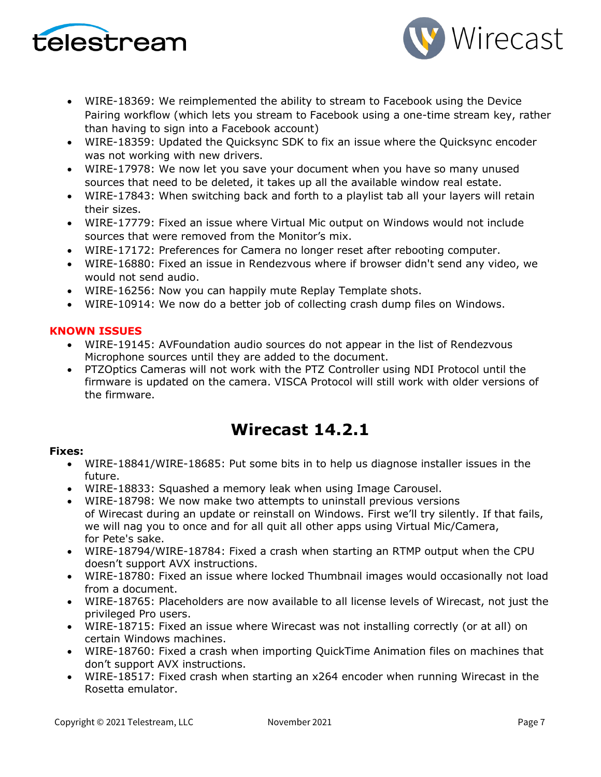



- WIRE-18369: We reimplemented the ability to stream to Facebook using the Device Pairing workflow (which lets you stream to Facebook using a one-time stream key, rather than having to sign into a Facebook account)
- WIRE-18359: Updated the Quicksync SDK to fix an issue where the Quicksync encoder was not working with new drivers.
- WIRE-17978: We now let you save your document when you have so many unused sources that need to be deleted, it takes up all the available window real estate.
- WIRE-17843: When switching back and forth to a playlist tab all your layers will retain their sizes.
- WIRE-17779: Fixed an issue where Virtual Mic output on Windows would not include sources that were removed from the Monitor's mix.
- WIRE-17172: Preferences for Camera no longer reset after rebooting computer.
- WIRE-16880: Fixed an issue in Rendezvous where if browser didn't send any video, we would not send audio.
- WIRE-16256: Now you can happily mute Replay Template shots.
- WIRE-10914: We now do a better job of collecting crash dump files on Windows.

### **KNOWN ISSUES**

- WIRE-19145: AVFoundation audio sources do not appear in the list of Rendezvous Microphone sources until they are added to the document.
- PTZOptics Cameras will not work with the PTZ Controller using NDI Protocol until the firmware is updated on the camera. VISCA Protocol will still work with older versions of the firmware.

# **Wirecast 14.2.1**

- WIRE-18841/WIRE-18685: Put some bits in to help us diagnose installer issues in the future.
- WIRE-18833: Squashed a memory leak when using Image Carousel.
- WIRE-18798: We now make two attempts to uninstall previous versions of Wirecast during an update or reinstall on Windows. First we'll try silently. If that fails, we will nag you to once and for all quit all other apps using Virtual Mic/Camera, for Pete's sake.
- WIRE-18794/WIRE-18784: Fixed a crash when starting an RTMP output when the CPU doesn't support AVX instructions.
- WIRE-18780: Fixed an issue where locked Thumbnail images would occasionally not load from a document.
- WIRE-18765: Placeholders are now available to all license levels of Wirecast, not just the privileged Pro users.
- WIRE-18715: Fixed an issue where Wirecast was not installing correctly (or at all) on certain Windows machines.
- WIRE-18760: Fixed a crash when importing QuickTime Animation files on machines that don't support AVX instructions.
- WIRE-18517: Fixed crash when starting an x264 encoder when running Wirecast in the Rosetta emulator.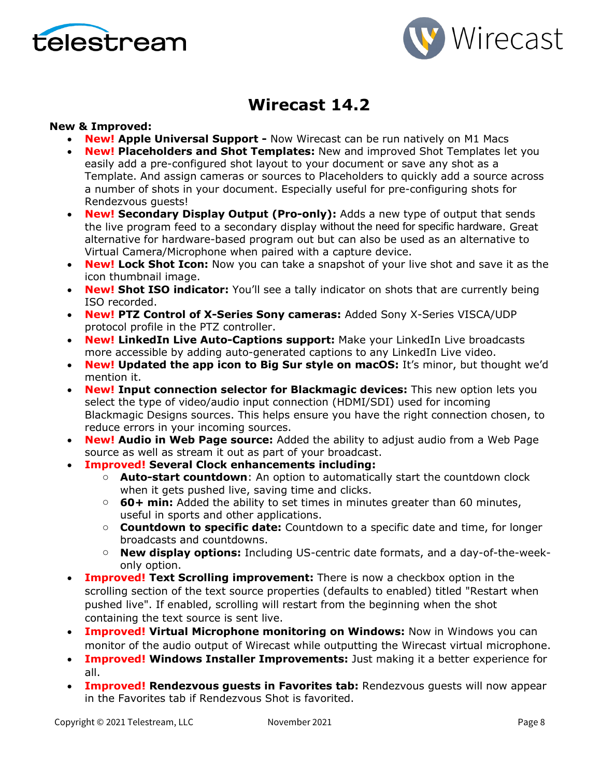



# **Wirecast 14.2**

### **New & Improved:**

- **New! Apple Universal Support -** Now Wirecast can be run natively on M1 Macs
- **New! Placeholders and Shot Templates:** New and improved Shot Templates let you easily add a pre-configured shot layout to your document or save any shot as a Template. And assign cameras or sources to Placeholders to quickly add a source across a number of shots in your document. Especially useful for pre-configuring shots for Rendezvous guests!
- **New! Secondary Display Output (Pro-only):** Adds a new type of output that sends the live program feed to a secondary display without the need for specific hardware. Great alternative for hardware-based program out but can also be used as an alternative to Virtual Camera/Microphone when paired with a capture device.
- **New! Lock Shot Icon:** Now you can take a snapshot of your live shot and save it as the icon thumbnail image.
- **New! Shot ISO indicator:** You'll see a tally indicator on shots that are currently being ISO recorded.
- **New! PTZ Control of X-Series Sony cameras:** Added Sony X-Series VISCA/UDP protocol profile in the PTZ controller.
- **New! LinkedIn Live Auto-Captions support:** Make your LinkedIn Live broadcasts more accessible by adding auto-generated captions to any LinkedIn Live video.
- **New! Updated the app icon to Big Sur style on macOS:** It's minor, but thought we'd mention it.
- **New! Input connection selector for Blackmagic devices:** This new option lets you select the type of video/audio input connection (HDMI/SDI) used for incoming Blackmagic Designs sources. This helps ensure you have the right connection chosen, to reduce errors in your incoming sources.
- **New! Audio in Web Page source:** Added the ability to adjust audio from a Web Page source as well as stream it out as part of your broadcast.
- **Improved! Several Clock enhancements including:**
	- o **Auto-start countdown**: An option to automatically start the countdown clock when it gets pushed live, saving time and clicks.
	- o **60+ min:** Added the ability to set times in minutes greater than 60 minutes, useful in sports and other applications.
	- o **Countdown to specific date:** Countdown to a specific date and time, for longer broadcasts and countdowns.
	- o **New display options:** Including US-centric date formats, and a day-of-the-weekonly option.
- **Improved! Text Scrolling improvement:** There is now a checkbox option in the scrolling section of the text source properties (defaults to enabled) titled "Restart when pushed live". If enabled, scrolling will restart from the beginning when the shot containing the text source is sent live.
- **Improved! Virtual Microphone monitoring on Windows:** Now in Windows you can monitor of the audio output of Wirecast while outputting the Wirecast virtual microphone.
- **Improved! Windows Installer Improvements:** Just making it a better experience for all.
- **Improved! Rendezvous guests in Favorites tab:** Rendezvous guests will now appear in the Favorites tab if Rendezvous Shot is favorited.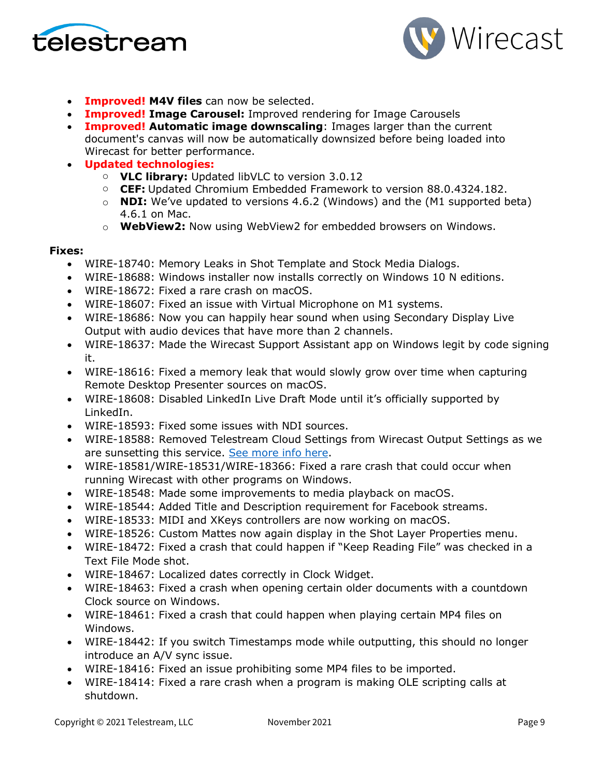



- **Improved! M4V files** can now be selected.
- **Improved! Image Carousel:** Improved rendering for Image Carousels
- **Improved! Automatic image downscaling**: Images larger than the current document's canvas will now be automatically downsized before being loaded into Wirecast for better performance.
- **Updated technologies:**
	- o **VLC library:** Updated libVLC to version 3.0.12
	- o **CEF:** Updated Chromium Embedded Framework to version 88.0.4324.182.
	- o **NDI:** We've updated to versions 4.6.2 (Windows) and the (M1 supported beta) 4.6.1 on Mac.
	- o **WebView2:** Now using WebView2 for embedded browsers on Windows.

- WIRE-18740: Memory Leaks in Shot Template and Stock Media Dialogs.
- WIRE-18688: Windows installer now installs correctly on Windows 10 N editions.
- WIRE-18672: Fixed a rare crash on macOS.
- WIRE-18607: Fixed an issue with Virtual Microphone on M1 systems.
- WIRE-18686: Now you can happily hear sound when using Secondary Display Live Output with audio devices that have more than 2 channels.
- WIRE-18637: Made the Wirecast Support Assistant app on Windows legit by code signing it.
- WIRE-18616: Fixed a memory leak that would slowly grow over time when capturing Remote Desktop Presenter sources on macOS.
- WIRE-18608: Disabled LinkedIn Live Draft Mode until it's officially supported by LinkedIn.
- WIRE-18593: Fixed some issues with NDI sources.
- WIRE-18588: Removed Telestream Cloud Settings from Wirecast Output Settings as we are sunsetting this service. [See more info here.](http://telestream.force.com/kb/articles/Knowledge_Article/Wirecast-Web-Services-Restream-Closed-Caption-Announcement)
- WIRE-18581/WIRE-18531/WIRE-18366: Fixed a rare crash that could occur when running Wirecast with other programs on Windows.
- WIRE-18548: Made some improvements to media playback on macOS.
- WIRE-18544: Added Title and Description requirement for Facebook streams.
- WIRE-18533: MIDI and XKeys controllers are now working on macOS.
- WIRE-18526: Custom Mattes now again display in the Shot Layer Properties menu.
- WIRE-18472: Fixed a crash that could happen if "Keep Reading File" was checked in a Text File Mode shot.
- WIRE-18467: Localized dates correctly in Clock Widget.
- WIRE-18463: Fixed a crash when opening certain older documents with a countdown Clock source on Windows.
- WIRE-18461: Fixed a crash that could happen when playing certain MP4 files on Windows.
- WIRE-18442: If you switch Timestamps mode while outputting, this should no longer introduce an A/V sync issue.
- WIRE-18416: Fixed an issue prohibiting some MP4 files to be imported.
- WIRE-18414: Fixed a rare crash when a program is making OLE scripting calls at shutdown.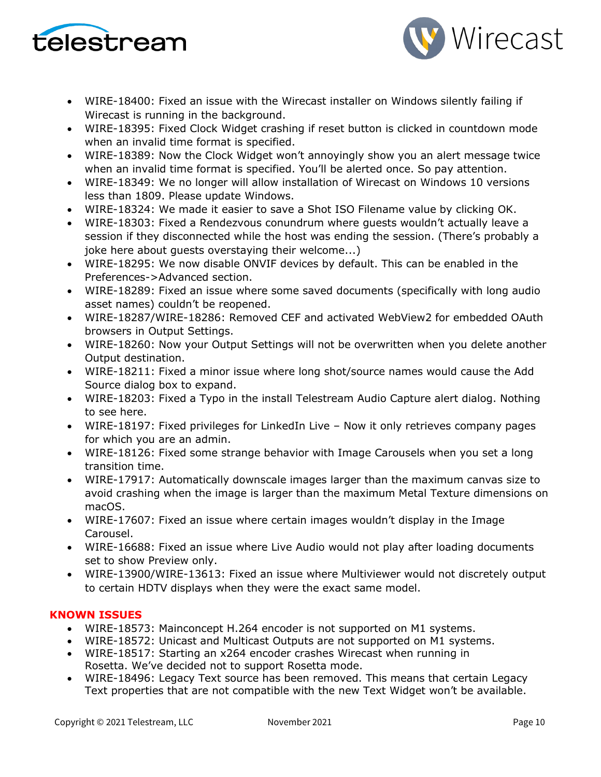



- WIRE-18400: Fixed an issue with the Wirecast installer on Windows silently failing if Wirecast is running in the background.
- WIRE-18395: Fixed Clock Widget crashing if reset button is clicked in countdown mode when an invalid time format is specified.
- WIRE-18389: Now the Clock Widget won't annoyingly show you an alert message twice when an invalid time format is specified. You'll be alerted once. So pay attention.
- WIRE-18349: We no longer will allow installation of Wirecast on Windows 10 versions less than 1809. Please update Windows.
- WIRE-18324: We made it easier to save a Shot ISO Filename value by clicking OK.
- WIRE-18303: Fixed a Rendezvous conundrum where guests wouldn't actually leave a session if they disconnected while the host was ending the session. (There's probably a joke here about guests overstaying their welcome...)
- WIRE-18295: We now disable ONVIF devices by default. This can be enabled in the Preferences->Advanced section.
- WIRE-18289: Fixed an issue where some saved documents (specifically with long audio asset names) couldn't be reopened.
- WIRE-18287/WIRE-18286: Removed CEF and activated WebView2 for embedded OAuth browsers in Output Settings.
- WIRE-18260: Now your Output Settings will not be overwritten when you delete another Output destination.
- WIRE-18211: Fixed a minor issue where long shot/source names would cause the Add Source dialog box to expand.
- WIRE-18203: Fixed a Typo in the install Telestream Audio Capture alert dialog. Nothing to see here.
- WIRE-18197: Fixed privileges for LinkedIn Live Now it only retrieves company pages for which you are an admin.
- WIRE-18126: Fixed some strange behavior with Image Carousels when you set a long transition time.
- WIRE-17917: Automatically downscale images larger than the maximum canvas size to avoid crashing when the image is larger than the maximum Metal Texture dimensions on macOS.
- WIRE-17607: Fixed an issue where certain images wouldn't display in the Image Carousel.
- WIRE-16688: Fixed an issue where Live Audio would not play after loading documents set to show Preview only.
- WIRE-13900/WIRE-13613: Fixed an issue where Multiviewer would not discretely output to certain HDTV displays when they were the exact same model.

### **KNOWN ISSUES**

- WIRE-18573: Mainconcept H.264 encoder is not supported on M1 systems.
- WIRE-18572: Unicast and Multicast Outputs are not supported on M1 systems.
- WIRE-18517: Starting an x264 encoder crashes Wirecast when running in Rosetta. We've decided not to support Rosetta mode.
- WIRE-18496: Legacy Text source has been removed. This means that certain Legacy Text properties that are not compatible with the new Text Widget won't be available.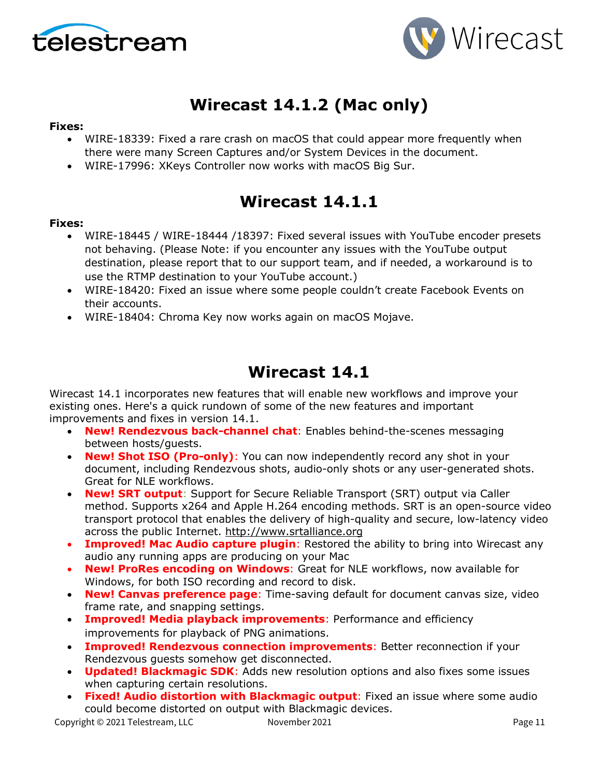



# **Wirecast 14.1.2 (Mac only)**

#### **Fixes:**

- WIRE-18339: Fixed a rare crash on macOS that could appear more frequently when there were many Screen Captures and/or System Devices in the document.
- WIRE-17996: XKeys Controller now works with macOS Big Sur.

# **Wirecast 14.1.1**

#### **Fixes:**

- WIRE-18445 / WIRE-18444 /18397: Fixed several issues with YouTube encoder presets not behaving. (Please Note: if you encounter any issues with the YouTube output destination, please report that to our support team, and if needed, a workaround is to use the RTMP destination to your YouTube account.)
- WIRE-18420: Fixed an issue where some people couldn't create Facebook Events on their accounts.
- WIRE-18404: Chroma Key now works again on macOS Mojave.

# **Wirecast 14.1**

Wirecast 14.1 incorporates new features that will enable new workflows and improve your existing ones. Here's a quick rundown of some of the new features and important improvements and fixes in version 14.1.

- **New! Rendezvous back-channel chat**: Enables behind-the-scenes messaging between hosts/guests.
- **New! Shot ISO (Pro-only)**: You can now independently record any shot in your document, including Rendezvous shots, audio-only shots or any user-generated shots. Great for NLE workflows.
- **New! SRT output**: Support for Secure Reliable Transport (SRT) output via Caller method. Supports x264 and Apple H.264 encoding methods. SRT is an open-source video transport protocol that enables the delivery of high-quality and secure, low-latency video across the public Internet. [http://www.srtalliance.org](http://www.srtalliance.org/)
- **Improved! Mac Audio capture plugin**: Restored the ability to bring into Wirecast any audio any running apps are producing on your Mac
- **New! ProRes encoding on Windows**: Great for NLE workflows, now available for Windows, for both ISO recording and record to disk.
- **New! Canvas preference page**: Time-saving default for document canvas size, video frame rate, and snapping settings.
- **Improved! Media playback improvements**: Performance and efficiency improvements for playback of PNG animations.
- **Improved! Rendezvous connection improvements**: Better reconnection if your Rendezvous guests somehow get disconnected.
- **Updated! Blackmagic SDK**: Adds new resolution options and also fixes some issues when capturing certain resolutions.
- **Fixed! Audio distortion with Blackmagic output**: Fixed an issue where some audio could become distorted on output with Blackmagic devices.

Copyright © 2021 Telestream, LLC Movember 2021 1997 1998 11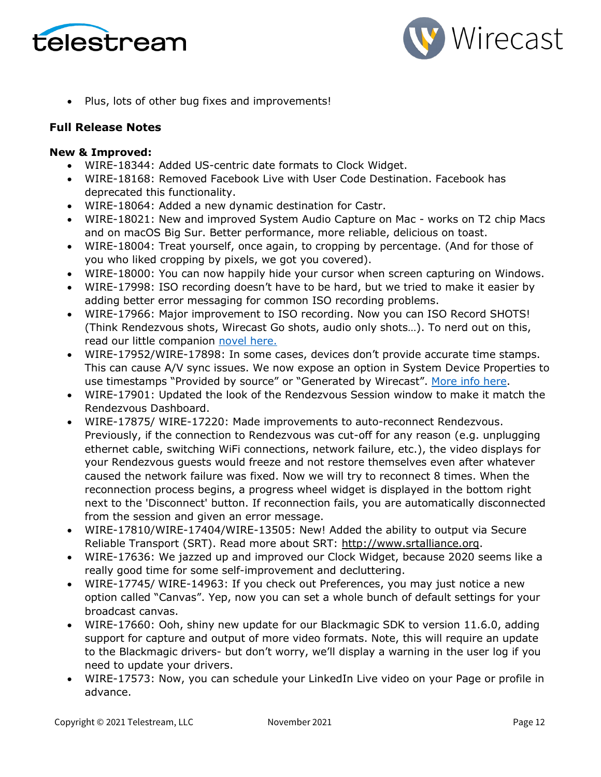



• Plus, lots of other bug fixes and improvements!

### **Full Release Notes**

#### **New & Improved:**

- WIRE-18344: Added US-centric date formats to Clock Widget.
- WIRE-18168: Removed Facebook Live with User Code Destination. Facebook has deprecated this functionality.
- WIRE-18064: Added a new dynamic destination for Castr.
- WIRE-18021: New and improved System Audio Capture on Mac works on T2 chip Macs and on macOS Big Sur. Better performance, more reliable, delicious on toast.
- WIRE-18004: Treat yourself, once again, to cropping by percentage. (And for those of you who liked cropping by pixels, we got you covered).
- WIRE-18000: You can now happily hide your cursor when screen capturing on Windows.
- WIRE-17998: ISO recording doesn't have to be hard, but we tried to make it easier by adding better error messaging for common ISO recording problems.
- WIRE-17966: Major improvement to ISO recording. Now you can ISO Record SHOTS! (Think Rendezvous shots, Wirecast Go shots, audio only shots…). To nerd out on this, read our little companion [novel here.](https://www.telestream.net/download-files/wirecast/14-1/ISO-Recording-Changes.pdf)
- WIRE-17952/WIRE-17898: In some cases, devices don't provide accurate time stamps. This can cause A/V sync issues. We now expose an option in System Device Properties to use timestamps "Provided by source" or "Generated by Wirecast". [More info here.](http://telestream.force.com/kb/articles/Knowledge_Article/Wirecast-Timestamps-Option/)
- WIRE-17901: Updated the look of the Rendezvous Session window to make it match the Rendezvous Dashboard.
- WIRE-17875/ WIRE-17220: Made improvements to auto-reconnect Rendezvous. Previously, if the connection to Rendezvous was cut-off for any reason (e.g. unplugging ethernet cable, switching WiFi connections, network failure, etc.), the video displays for your Rendezvous guests would freeze and not restore themselves even after whatever caused the network failure was fixed. Now we will try to reconnect 8 times. When the reconnection process begins, a progress wheel widget is displayed in the bottom right next to the 'Disconnect' button. If reconnection fails, you are automatically disconnected from the session and given an error message.
- WIRE-17810/WIRE-17404/WIRE-13505: New! Added the ability to output via Secure Reliable Transport (SRT). Read more about SRT: [http://www.srtalliance.org.](http://www.srtalliance.org/)
- WIRE-17636: We jazzed up and improved our Clock Widget, because 2020 seems like a really good time for some self-improvement and decluttering.
- WIRE-17745/ WIRE-14963: If you check out Preferences, you may just notice a new option called "Canvas". Yep, now you can set a whole bunch of default settings for your broadcast canvas.
- WIRE-17660: Ooh, shiny new update for our Blackmagic SDK to version 11.6.0, adding support for capture and output of more video formats. Note, this will require an update to the Blackmagic drivers- but don't worry, we'll display a warning in the user log if you need to update your drivers.
- WIRE-17573: Now, you can schedule your LinkedIn Live video on your Page or profile in advance.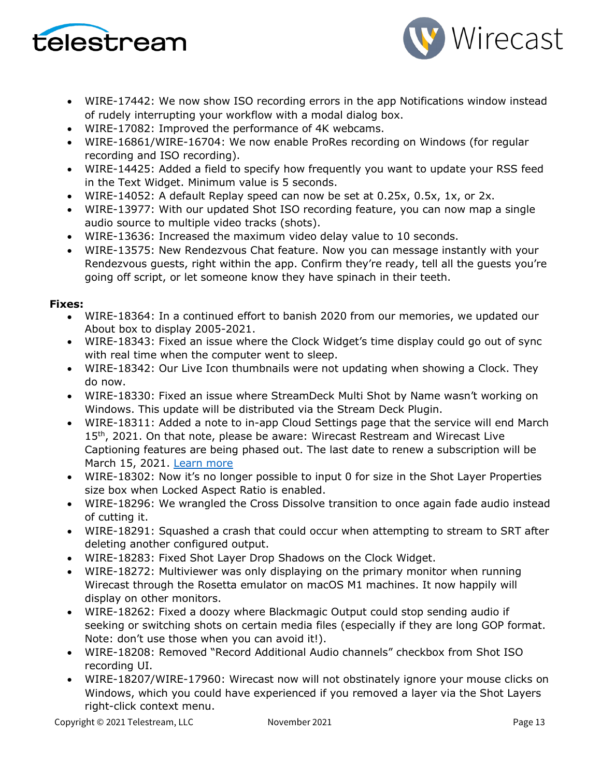



- WIRE-17442: We now show ISO recording errors in the app Notifications window instead of rudely interrupting your workflow with a modal dialog box.
- WIRE-17082: Improved the performance of 4K webcams.
- WIRE-16861/WIRE-16704: We now enable ProRes recording on Windows (for regular recording and ISO recording).
- WIRE-14425: Added a field to specify how frequently you want to update your RSS feed in the Text Widget. Minimum value is 5 seconds.
- WIRE-14052: A default Replay speed can now be set at 0.25x, 0.5x, 1x, or 2x.
- WIRE-13977: With our updated Shot ISO recording feature, you can now map a single audio source to multiple video tracks (shots).
- WIRE-13636: Increased the maximum video delay value to 10 seconds.
- WIRE-13575: New Rendezvous Chat feature. Now you can message instantly with your Rendezvous guests, right within the app. Confirm they're ready, tell all the guests you're going off script, or let someone know they have spinach in their teeth.

- WIRE-18364: In a continued effort to banish 2020 from our memories, we updated our About box to display 2005-2021.
- WIRE-18343: Fixed an issue where the Clock Widget's time display could go out of sync with real time when the computer went to sleep.
- WIRE-18342: Our Live Icon thumbnails were not updating when showing a Clock. They do now.
- WIRE-18330: Fixed an issue where StreamDeck Multi Shot by Name wasn't working on Windows. This update will be distributed via the Stream Deck Plugin.
- WIRE-18311: Added a note to in-app Cloud Settings page that the service will end March 15<sup>th</sup>, 2021. On that note, please be aware: Wirecast Restream and Wirecast Live Captioning features are being phased out. The last date to renew a subscription will be March 15, 2021. [Learn more](http://www.telestream.net/telestream-support/wire-cast/faq.htm?kbURL=http://telestream.force.com/kb/articles/Knowledge_Article/Wirecast-Web-Services-Restream-Closed-Caption-Announcement)
- WIRE-18302: Now it's no longer possible to input 0 for size in the Shot Layer Properties size box when Locked Aspect Ratio is enabled.
- WIRE-18296: We wrangled the Cross Dissolve transition to once again fade audio instead of cutting it.
- WIRE-18291: Squashed a crash that could occur when attempting to stream to SRT after deleting another configured output.
- WIRE-18283: Fixed Shot Layer Drop Shadows on the Clock Widget.
- WIRE-18272: Multiviewer was only displaying on the primary monitor when running Wirecast through the Rosetta emulator on macOS M1 machines. It now happily will display on other monitors.
- WIRE-18262: Fixed a doozy where Blackmagic Output could stop sending audio if seeking or switching shots on certain media files (especially if they are long GOP format. Note: don't use those when you can avoid it!).
- WIRE-18208: Removed "Record Additional Audio channels" checkbox from Shot ISO recording UI.
- WIRE-18207/WIRE-17960: Wirecast now will not obstinately ignore your mouse clicks on Windows, which you could have experienced if you removed a layer via the Shot Layers right-click context menu.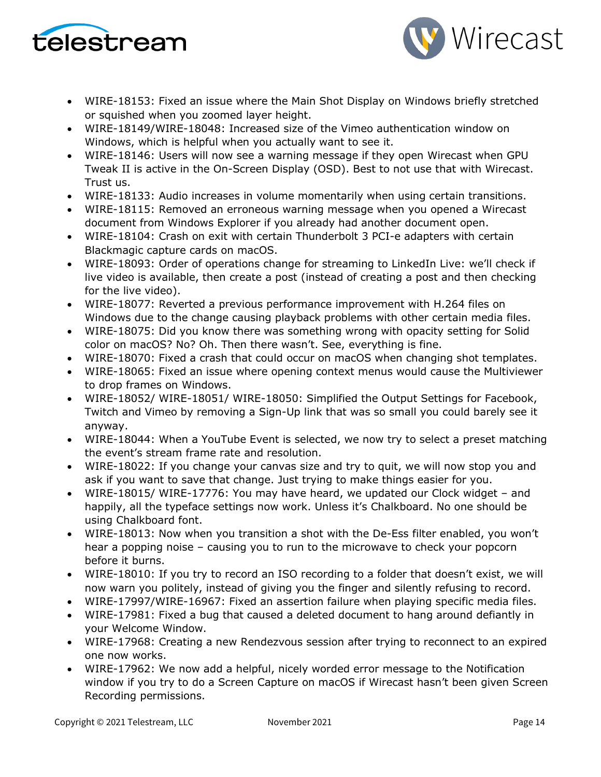



- WIRE-18153: Fixed an issue where the Main Shot Display on Windows briefly stretched or squished when you zoomed layer height.
- WIRE-18149/WIRE-18048: Increased size of the Vimeo authentication window on Windows, which is helpful when you actually want to see it.
- WIRE-18146: Users will now see a warning message if they open Wirecast when GPU Tweak II is active in the On-Screen Display (OSD). Best to not use that with Wirecast. Trust us.
- WIRE-18133: Audio increases in volume momentarily when using certain transitions.
- WIRE-18115: Removed an erroneous warning message when you opened a Wirecast document from Windows Explorer if you already had another document open.
- WIRE-18104: Crash on exit with certain Thunderbolt 3 PCI-e adapters with certain Blackmagic capture cards on macOS.
- WIRE-18093: Order of operations change for streaming to LinkedIn Live: we'll check if live video is available, then create a post (instead of creating a post and then checking for the live video).
- WIRE-18077: Reverted a previous performance improvement with H.264 files on Windows due to the change causing playback problems with other certain media files.
- WIRE-18075: Did you know there was something wrong with opacity setting for Solid color on macOS? No? Oh. Then there wasn't. See, everything is fine.
- WIRE-18070: Fixed a crash that could occur on macOS when changing shot templates.
- WIRE-18065: Fixed an issue where opening context menus would cause the Multiviewer to drop frames on Windows.
- WIRE-18052/ WIRE-18051/ WIRE-18050: Simplified the Output Settings for Facebook, Twitch and Vimeo by removing a Sign-Up link that was so small you could barely see it anyway.
- WIRE-18044: When a YouTube Event is selected, we now try to select a preset matching the event's stream frame rate and resolution.
- WIRE-18022: If you change your canvas size and try to quit, we will now stop you and ask if you want to save that change. Just trying to make things easier for you.
- WIRE-18015/ WIRE-17776: You may have heard, we updated our Clock widget and happily, all the typeface settings now work. Unless it's Chalkboard. No one should be using Chalkboard font.
- WIRE-18013: Now when you transition a shot with the De-Ess filter enabled, you won't hear a popping noise – causing you to run to the microwave to check your popcorn before it burns.
- WIRE-18010: If you try to record an ISO recording to a folder that doesn't exist, we will now warn you politely, instead of giving you the finger and silently refusing to record.
- WIRE-17997/WIRE-16967: Fixed an assertion failure when playing specific media files.
- WIRE-17981: Fixed a bug that caused a deleted document to hang around defiantly in your Welcome Window.
- WIRE-17968: Creating a new Rendezvous session after trying to reconnect to an expired one now works.
- WIRE-17962: We now add a helpful, nicely worded error message to the Notification window if you try to do a Screen Capture on macOS if Wirecast hasn't been given Screen Recording permissions.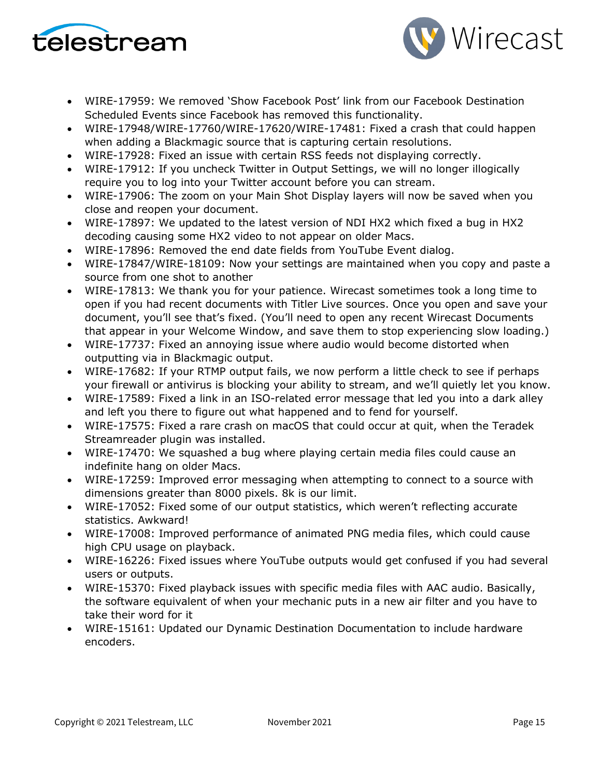



- WIRE-17959: We removed 'Show Facebook Post' link from our Facebook Destination Scheduled Events since Facebook has removed this functionality.
- WIRE-17948/WIRE-17760/WIRE-17620/WIRE-17481: Fixed a crash that could happen when adding a Blackmagic source that is capturing certain resolutions.
- WIRE-17928: Fixed an issue with certain RSS feeds not displaying correctly.
- WIRE-17912: If you uncheck Twitter in Output Settings, we will no longer illogically require you to log into your Twitter account before you can stream.
- WIRE-17906: The zoom on your Main Shot Display layers will now be saved when you close and reopen your document.
- WIRE-17897: We updated to the latest version of NDI HX2 which fixed a bug in HX2 decoding causing some HX2 video to not appear on older Macs.
- WIRE-17896: Removed the end date fields from YouTube Event dialog.
- WIRE-17847/WIRE-18109: Now your settings are maintained when you copy and paste a source from one shot to another
- WIRE-17813: We thank you for your patience. Wirecast sometimes took a long time to open if you had recent documents with Titler Live sources. Once you open and save your document, you'll see that's fixed. (You'll need to open any recent Wirecast Documents that appear in your Welcome Window, and save them to stop experiencing slow loading.)
- WIRE-17737: Fixed an annoying issue where audio would become distorted when outputting via in Blackmagic output.
- WIRE-17682: If your RTMP output fails, we now perform a little check to see if perhaps your firewall or antivirus is blocking your ability to stream, and we'll quietly let you know.
- WIRE-17589: Fixed a link in an ISO-related error message that led you into a dark alley and left you there to figure out what happened and to fend for yourself.
- WIRE-17575: Fixed a rare crash on macOS that could occur at quit, when the Teradek Streamreader plugin was installed.
- WIRE-17470: We squashed a bug where playing certain media files could cause an indefinite hang on older Macs.
- WIRE-17259: Improved error messaging when attempting to connect to a source with dimensions greater than 8000 pixels. 8k is our limit.
- WIRE-17052: Fixed some of our output statistics, which weren't reflecting accurate statistics. Awkward!
- WIRE-17008: Improved performance of animated PNG media files, which could cause high CPU usage on playback.
- WIRE-16226: Fixed issues where YouTube outputs would get confused if you had several users or outputs.
- WIRE-15370: Fixed playback issues with specific media files with AAC audio. Basically, the software equivalent of when your mechanic puts in a new air filter and you have to take their word for it
- WIRE-15161: Updated our Dynamic Destination Documentation to include hardware encoders.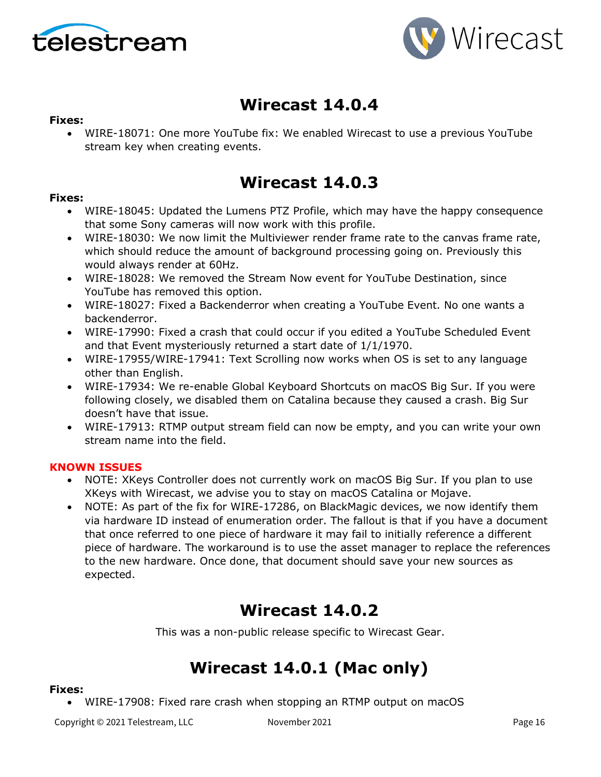



# **Wirecast 14.0.4**

### **Fixes:**

• WIRE-18071: One more YouTube fix: We enabled Wirecast to use a previous YouTube stream key when creating events.

# **Wirecast 14.0.3**

### **Fixes:**

- WIRE-18045: Updated the Lumens PTZ Profile, which may have the happy consequence that some Sony cameras will now work with this profile.
- WIRE-18030: We now limit the Multiviewer render frame rate to the canvas frame rate, which should reduce the amount of background processing going on. Previously this would always render at 60Hz.
- WIRE-18028: We removed the Stream Now event for YouTube Destination, since YouTube has removed this option.
- WIRE-18027: Fixed a Backenderror when creating a YouTube Event. No one wants a backenderror.
- WIRE-17990: Fixed a crash that could occur if you edited a YouTube Scheduled Event and that Event mysteriously returned a start date of 1/1/1970.
- WIRE-17955/WIRE-17941: Text Scrolling now works when OS is set to any language other than English.
- WIRE-17934: We re-enable Global Keyboard Shortcuts on macOS Big Sur. If you were following closely, we disabled them on Catalina because they caused a crash. Big Sur doesn't have that issue.
- WIRE-17913: RTMP output stream field can now be empty, and you can write your own stream name into the field.

### **KNOWN ISSUES**

- NOTE: XKeys Controller does not currently work on macOS Big Sur. If you plan to use XKeys with Wirecast, we advise you to stay on macOS Catalina or Mojave.
- NOTE: As part of the fix for WIRE-17286, on BlackMagic devices, we now identify them via hardware ID instead of enumeration order. The fallout is that if you have a document that once referred to one piece of hardware it may fail to initially reference a different piece of hardware. The workaround is to use the asset manager to replace the references to the new hardware. Once done, that document should save your new sources as expected.

# **Wirecast 14.0.2**

This was a non-public release specific to Wirecast Gear.

# **Wirecast 14.0.1 (Mac only)**

#### **Fixes:**

• WIRE-17908: Fixed rare crash when stopping an RTMP output on macOS

Copyright © 2021 Telestream, LLC Movember 2021 November 2021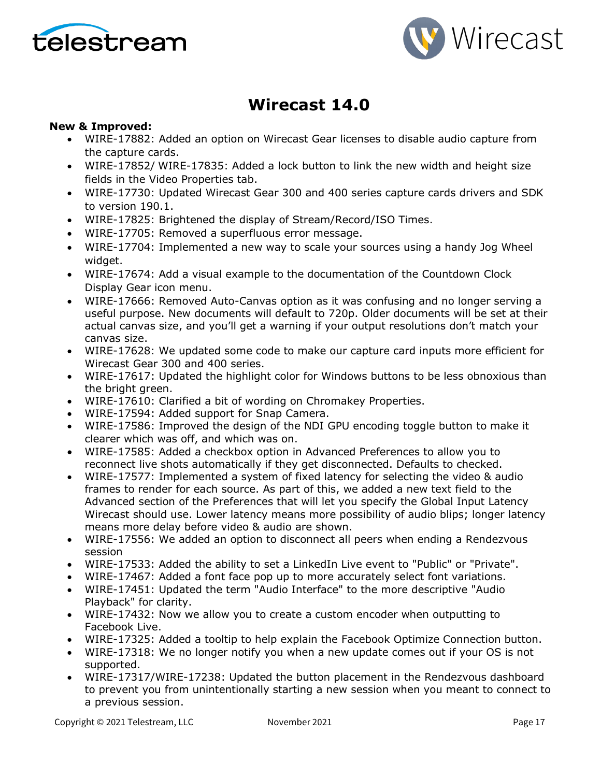



# **Wirecast 14.0**

### **New & Improved:**

- WIRE-17882: Added an option on Wirecast Gear licenses to disable audio capture from the capture cards.
- WIRE-17852/ WIRE-17835: Added a lock button to link the new width and height size fields in the Video Properties tab.
- WIRE-17730: Updated Wirecast Gear 300 and 400 series capture cards drivers and SDK to version 190.1.
- WIRE-17825: Brightened the display of Stream/Record/ISO Times.
- WIRE-17705: Removed a superfluous error message.
- WIRE-17704: Implemented a new way to scale your sources using a handy Jog Wheel widget.
- WIRE-17674: Add a visual example to the documentation of the Countdown Clock Display Gear icon menu.
- WIRE-17666: Removed Auto-Canvas option as it was confusing and no longer serving a useful purpose. New documents will default to 720p. Older documents will be set at their actual canvas size, and you'll get a warning if your output resolutions don't match your canvas size.
- WIRE-17628: We updated some code to make our capture card inputs more efficient for Wirecast Gear 300 and 400 series.
- WIRE-17617: Updated the highlight color for Windows buttons to be less obnoxious than the bright green.
- WIRE-17610: Clarified a bit of wording on Chromakey Properties.
- WIRE-17594: Added support for Snap Camera.
- WIRE-17586: Improved the design of the NDI GPU encoding toggle button to make it clearer which was off, and which was on.
- WIRE-17585: Added a checkbox option in Advanced Preferences to allow you to reconnect live shots automatically if they get disconnected. Defaults to checked.
- WIRE-17577: Implemented a system of fixed latency for selecting the video & audio frames to render for each source. As part of this, we added a new text field to the Advanced section of the Preferences that will let you specify the Global Input Latency Wirecast should use. Lower latency means more possibility of audio blips; longer latency means more delay before video & audio are shown.
- WIRE-17556: We added an option to disconnect all peers when ending a Rendezvous session
- WIRE-17533: Added the ability to set a LinkedIn Live event to "Public" or "Private".
- WIRE-17467: Added a font face pop up to more accurately select font variations.
- WIRE-17451: Updated the term "Audio Interface" to the more descriptive "Audio Playback" for clarity.
- WIRE-17432: Now we allow you to create a custom encoder when outputting to Facebook Live.
- WIRE-17325: Added a tooltip to help explain the Facebook Optimize Connection button.
- WIRE-17318: We no longer notify you when a new update comes out if your OS is not supported.
- WIRE-17317/WIRE-17238: Updated the button placement in the Rendezvous dashboard to prevent you from unintentionally starting a new session when you meant to connect to a previous session.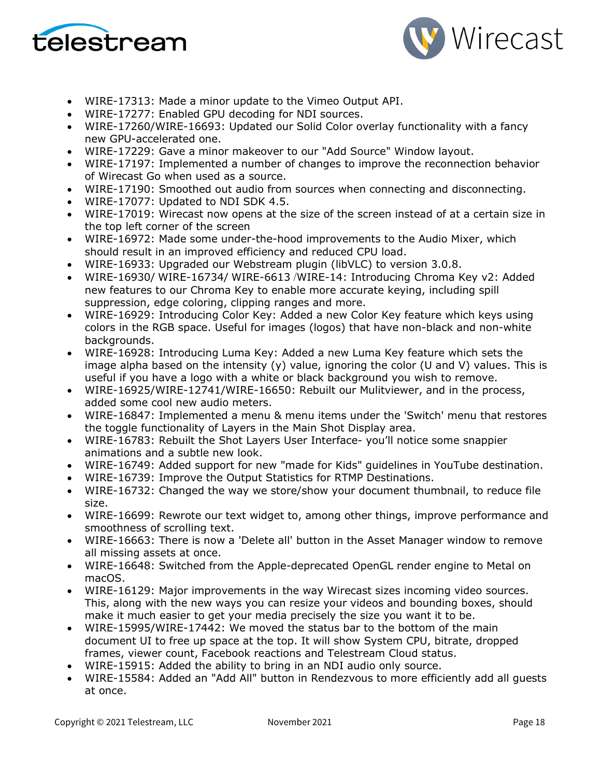



- WIRE-17313: Made a minor update to the Vimeo Output API.
- WIRE-17277: Enabled GPU decoding for NDI sources.
- WIRE-17260/WIRE-16693: Updated our Solid Color overlay functionality with a fancy new GPU-accelerated one.
- WIRE-17229: Gave a minor makeover to our "Add Source" Window layout.
- WIRE-17197: Implemented a number of changes to improve the reconnection behavior of Wirecast Go when used as a source.
- WIRE-17190: Smoothed out audio from sources when connecting and disconnecting.
- WIRE-17077: Updated to NDI SDK 4.5.
- WIRE-17019: Wirecast now opens at the size of the screen instead of at a certain size in the top left corner of the screen
- WIRE-16972: Made some under-the-hood improvements to the Audio Mixer, which should result in an improved efficiency and reduced CPU load.
- WIRE-16933: Upgraded our Webstream plugin (libVLC) to version 3.0.8.
- WIRE-16930/ WIRE-16734/ WIRE-6613 /WIRE-14: Introducing Chroma Key v2: Added new features to our Chroma Key to enable more accurate keying, including spill suppression, edge coloring, clipping ranges and more.
- WIRE-16929: Introducing Color Key: Added a new Color Key feature which keys using colors in the RGB space. Useful for images (logos) that have non-black and non-white backgrounds.
- WIRE-16928: Introducing Luma Key: Added a new Luma Key feature which sets the image alpha based on the intensity  $(y)$  value, ignoring the color (U and V) values. This is useful if you have a logo with a white or black background you wish to remove.
- WIRE-16925/WIRE-12741/WIRE-16650: Rebuilt our Mulitviewer, and in the process, added some cool new audio meters.
- WIRE-16847: Implemented a menu & menu items under the 'Switch' menu that restores the toggle functionality of Layers in the Main Shot Display area.
- WIRE-16783: Rebuilt the Shot Layers User Interface- you'll notice some snappier animations and a subtle new look.
- WIRE-16749: Added support for new "made for Kids" guidelines in YouTube destination.
- WIRE-16739: Improve the Output Statistics for RTMP Destinations.
- WIRE-16732: Changed the way we store/show your document thumbnail, to reduce file size.
- WIRE-16699: Rewrote our text widget to, among other things, improve performance and smoothness of scrolling text.
- WIRE-16663: There is now a 'Delete all' button in the Asset Manager window to remove all missing assets at once.
- WIRE-16648: Switched from the Apple-deprecated OpenGL render engine to Metal on macOS.
- WIRE-16129: Major improvements in the way Wirecast sizes incoming video sources. This, along with the new ways you can resize your videos and bounding boxes, should make it much easier to get your media precisely the size you want it to be.
- WIRE-15995/WIRE-17442: We moved the status bar to the bottom of the main document UI to free up space at the top. It will show System CPU, bitrate, dropped frames, viewer count, Facebook reactions and Telestream Cloud status.
- WIRE-15915: Added the ability to bring in an NDI audio only source.
- WIRE-15584: Added an "Add All" button in Rendezvous to more efficiently add all guests at once.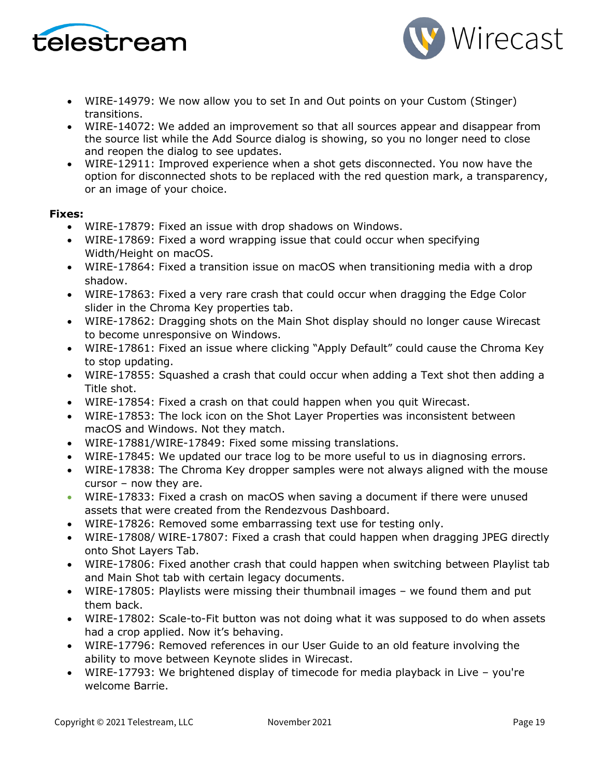



- WIRE-14979: We now allow you to set In and Out points on your Custom (Stinger) transitions.
- WIRE-14072: We added an improvement so that all sources appear and disappear from the source list while the Add Source dialog is showing, so you no longer need to close and reopen the dialog to see updates.
- WIRE-12911: Improved experience when a shot gets disconnected. You now have the option for disconnected shots to be replaced with the red question mark, a transparency, or an image of your choice.

- WIRE-17879: Fixed an issue with drop shadows on Windows.
- WIRE-17869: Fixed a word wrapping issue that could occur when specifying Width/Height on macOS.
- WIRE-17864: Fixed a transition issue on macOS when transitioning media with a drop shadow.
- WIRE-17863: Fixed a very rare crash that could occur when dragging the Edge Color slider in the Chroma Key properties tab.
- WIRE-17862: Dragging shots on the Main Shot display should no longer cause Wirecast to become unresponsive on Windows.
- WIRE-17861: Fixed an issue where clicking "Apply Default" could cause the Chroma Key to stop updating.
- WIRE-17855: Squashed a crash that could occur when adding a Text shot then adding a Title shot.
- WIRE-17854: Fixed a crash on that could happen when you quit Wirecast.
- WIRE-17853: The lock icon on the Shot Layer Properties was inconsistent between macOS and Windows. Not they match.
- WIRE-17881/WIRE-17849: Fixed some missing translations.
- WIRE-17845: We updated our trace log to be more useful to us in diagnosing errors.
- WIRE-17838: The Chroma Key dropper samples were not always aligned with the mouse cursor – now they are.
- WIRE-17833: Fixed a crash on macOS when saving a document if there were unused assets that were created from the Rendezvous Dashboard.
- WIRE-17826: Removed some embarrassing text use for testing only.
- WIRE-17808/ WIRE-17807: Fixed a crash that could happen when dragging JPEG directly onto Shot Layers Tab.
- WIRE-17806: Fixed another crash that could happen when switching between Playlist tab and Main Shot tab with certain legacy documents.
- WIRE-17805: Playlists were missing their thumbnail images we found them and put them back.
- WIRE-17802: Scale-to-Fit button was not doing what it was supposed to do when assets had a crop applied. Now it's behaving.
- WIRE-17796: Removed references in our User Guide to an old feature involving the ability to move between Keynote slides in Wirecast.
- WIRE-17793: We brightened display of timecode for media playback in Live you're welcome Barrie.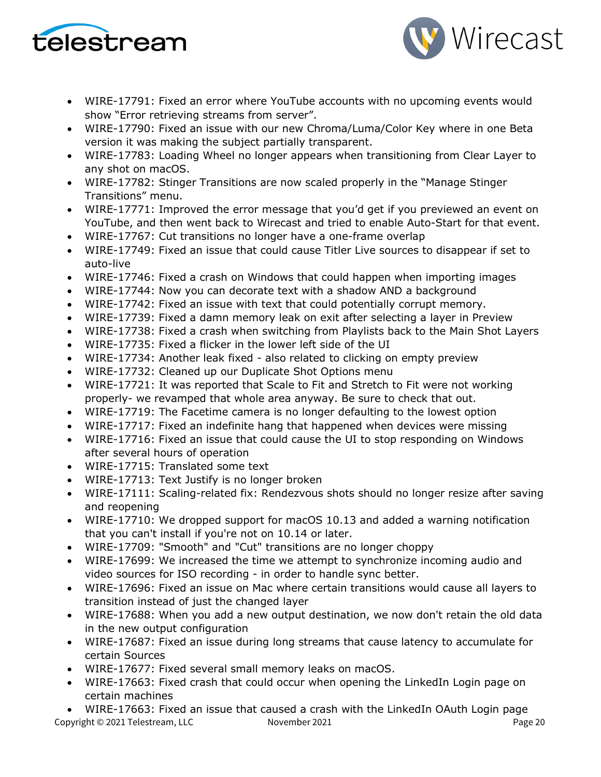



- WIRE-17791: Fixed an error where YouTube accounts with no upcoming events would show "Error retrieving streams from server".
- WIRE-17790: Fixed an issue with our new Chroma/Luma/Color Key where in one Beta version it was making the subject partially transparent.
- WIRE-17783: Loading Wheel no longer appears when transitioning from Clear Layer to any shot on macOS.
- WIRE-17782: Stinger Transitions are now scaled properly in the "Manage Stinger Transitions" menu.
- WIRE-17771: Improved the error message that you'd get if you previewed an event on YouTube, and then went back to Wirecast and tried to enable Auto-Start for that event.
- WIRE-17767: Cut transitions no longer have a one-frame overlap
- WIRE-17749: Fixed an issue that could cause Titler Live sources to disappear if set to auto-live
- WIRE-17746: Fixed a crash on Windows that could happen when importing images
- WIRE-17744: Now you can decorate text with a shadow AND a background
- WIRE-17742: Fixed an issue with text that could potentially corrupt memory.
- WIRE-17739: Fixed a damn memory leak on exit after selecting a layer in Preview
- WIRE-17738: Fixed a crash when switching from Playlists back to the Main Shot Layers
- WIRE-17735: Fixed a flicker in the lower left side of the UI
- WIRE-17734: Another leak fixed also related to clicking on empty preview
- WIRE-17732: Cleaned up our Duplicate Shot Options menu
- WIRE-17721: It was reported that Scale to Fit and Stretch to Fit were not working properly- we revamped that whole area anyway. Be sure to check that out.
- WIRE-17719: The Facetime camera is no longer defaulting to the lowest option
- WIRE-17717: Fixed an indefinite hang that happened when devices were missing
- WIRE-17716: Fixed an issue that could cause the UI to stop responding on Windows after several hours of operation
- WIRE-17715: Translated some text
- WIRE-17713: Text Justify is no longer broken
- WIRE-17111: Scaling-related fix: Rendezvous shots should no longer resize after saving and reopening
- WIRE-17710: We dropped support for macOS 10.13 and added a warning notification that you can't install if you're not on 10.14 or later.
- WIRE-17709: "Smooth" and "Cut" transitions are no longer choppy
- WIRE-17699: We increased the time we attempt to synchronize incoming audio and video sources for ISO recording - in order to handle sync better.
- WIRE-17696: Fixed an issue on Mac where certain transitions would cause all layers to transition instead of just the changed layer
- WIRE-17688: When you add a new output destination, we now don't retain the old data in the new output configuration
- WIRE-17687: Fixed an issue during long streams that cause latency to accumulate for certain Sources
- WIRE-17677: Fixed several small memory leaks on macOS.
- WIRE-17663: Fixed crash that could occur when opening the LinkedIn Login page on certain machines

Copyright © 2021 Telestream, LLC Movember 2021 November 2021 • WIRE-17663: Fixed an issue that caused a crash with the LinkedIn OAuth Login page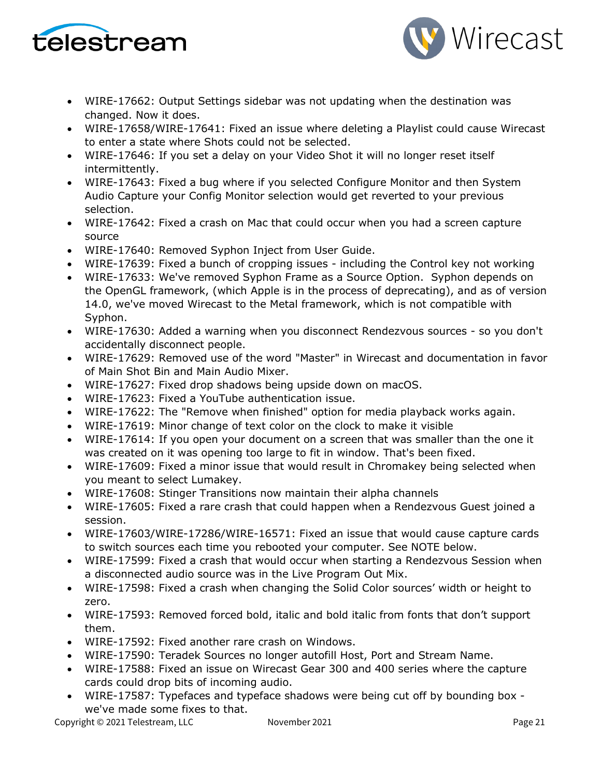



- WIRE-17662: Output Settings sidebar was not updating when the destination was changed. Now it does.
- WIRE-17658/WIRE-17641: Fixed an issue where deleting a Playlist could cause Wirecast to enter a state where Shots could not be selected.
- WIRE-17646: If you set a delay on your Video Shot it will no longer reset itself intermittently.
- WIRE-17643: Fixed a bug where if you selected Configure Monitor and then System Audio Capture your Config Monitor selection would get reverted to your previous selection.
- WIRE-17642: Fixed a crash on Mac that could occur when you had a screen capture source
- WIRE-17640: Removed Syphon Inject from User Guide.
- WIRE-17639: Fixed a bunch of cropping issues including the Control key not working
- WIRE-17633: We've removed Syphon Frame as a Source Option. Syphon depends on the OpenGL framework, (which Apple is in the process of deprecating), and as of version 14.0, we've moved Wirecast to the Metal framework, which is not compatible with Syphon.
- WIRE-17630: Added a warning when you disconnect Rendezvous sources so you don't accidentally disconnect people.
- WIRE-17629: Removed use of the word "Master" in Wirecast and documentation in favor of Main Shot Bin and Main Audio Mixer.
- WIRE-17627: Fixed drop shadows being upside down on macOS.
- WIRE-17623: Fixed a YouTube authentication issue.
- WIRE-17622: The "Remove when finished" option for media playback works again.
- WIRE-17619: Minor change of text color on the clock to make it visible
- WIRE-17614: If you open your document on a screen that was smaller than the one it was created on it was opening too large to fit in window. That's been fixed.
- WIRE-17609: Fixed a minor issue that would result in Chromakey being selected when you meant to select Lumakey.
- WIRE-17608: Stinger Transitions now maintain their alpha channels
- WIRE-17605: Fixed a rare crash that could happen when a Rendezvous Guest joined a session.
- WIRE-17603/WIRE-17286/WIRE-16571: Fixed an issue that would cause capture cards to switch sources each time you rebooted your computer. See NOTE below.
- WIRE-17599: Fixed a crash that would occur when starting a Rendezvous Session when a disconnected audio source was in the Live Program Out Mix.
- WIRE-17598: Fixed a crash when changing the Solid Color sources' width or height to zero.
- WIRE-17593: Removed forced bold, italic and bold italic from fonts that don't support them.
- WIRE-17592: Fixed another rare crash on Windows.
- WIRE-17590: Teradek Sources no longer autofill Host, Port and Stream Name.
- WIRE-17588: Fixed an issue on Wirecast Gear 300 and 400 series where the capture cards could drop bits of incoming audio.
- WIRE-17587: Typefaces and typeface shadows were being cut off by bounding box we've made some fixes to that.

Copyright © 2021 Telestream, LLC Movember 2021 November 2021 Page 21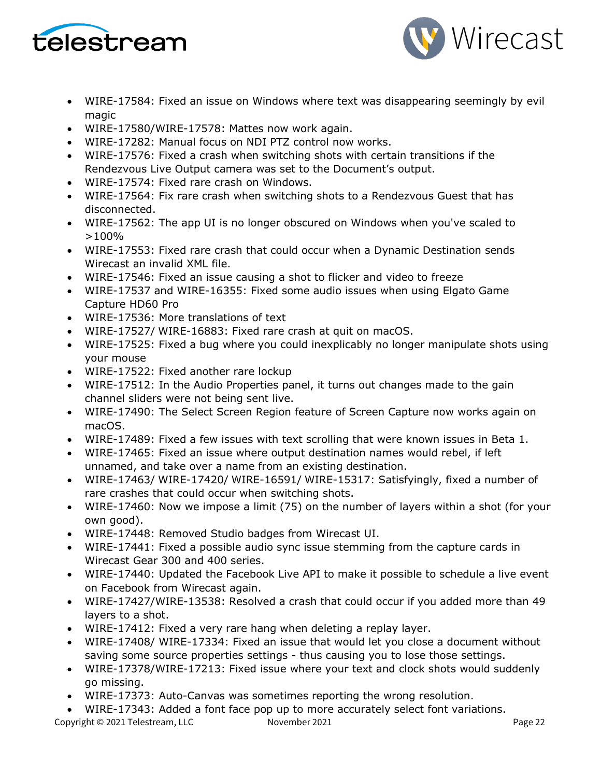



- WIRE-17584: Fixed an issue on Windows where text was disappearing seemingly by evil magic
- WIRE-17580/WIRE-17578: Mattes now work again.
- WIRE-17282: Manual focus on NDI PTZ control now works.
- WIRE-17576: Fixed a crash when switching shots with certain transitions if the Rendezvous Live Output camera was set to the Document's output.
- WIRE-17574: Fixed rare crash on Windows.
- WIRE-17564: Fix rare crash when switching shots to a Rendezvous Guest that has disconnected.
- WIRE-17562: The app UI is no longer obscured on Windows when you've scaled to >100%
- WIRE-17553: Fixed rare crash that could occur when a Dynamic Destination sends Wirecast an invalid XML file.
- WIRE-17546: Fixed an issue causing a shot to flicker and video to freeze
- WIRE-17537 and WIRE-16355: Fixed some audio issues when using Elgato Game Capture HD60 Pro
- WIRE-17536: More translations of text
- WIRE-17527/ WIRE-16883: Fixed rare crash at quit on macOS.
- WIRE-17525: Fixed a bug where you could inexplicably no longer manipulate shots using your mouse
- WIRE-17522: Fixed another rare lockup
- WIRE-17512: In the Audio Properties panel, it turns out changes made to the gain channel sliders were not being sent live.
- WIRE-17490: The Select Screen Region feature of Screen Capture now works again on macOS.
- WIRE-17489: Fixed a few issues with text scrolling that were known issues in Beta 1.
- WIRE-17465: Fixed an issue where output destination names would rebel, if left unnamed, and take over a name from an existing destination.
- WIRE-17463/ WIRE-17420/ WIRE-16591/ WIRE-15317: Satisfyingly, fixed a number of rare crashes that could occur when switching shots.
- WIRE-17460: Now we impose a limit (75) on the number of layers within a shot (for your own good).
- WIRE-17448: Removed Studio badges from Wirecast UI.
- WIRE-17441: Fixed a possible audio sync issue stemming from the capture cards in Wirecast Gear 300 and 400 series.
- WIRE-17440: Updated the Facebook Live API to make it possible to schedule a live event on Facebook from Wirecast again.
- WIRE-17427/WIRE-13538: Resolved a crash that could occur if you added more than 49 layers to a shot.
- WIRE-17412: Fixed a very rare hang when deleting a replay layer.
- WIRE-17408/ WIRE-17334: Fixed an issue that would let you close a document without saving some source properties settings - thus causing you to lose those settings.
- WIRE-17378/WIRE-17213: Fixed issue where your text and clock shots would suddenly go missing.
- WIRE-17373: Auto-Canvas was sometimes reporting the wrong resolution.
- WIRE-17343: Added a font face pop up to more accurately select font variations.

Copyright © 2021 Telestream, LLC November 2021 Copyright © 2021 Page 22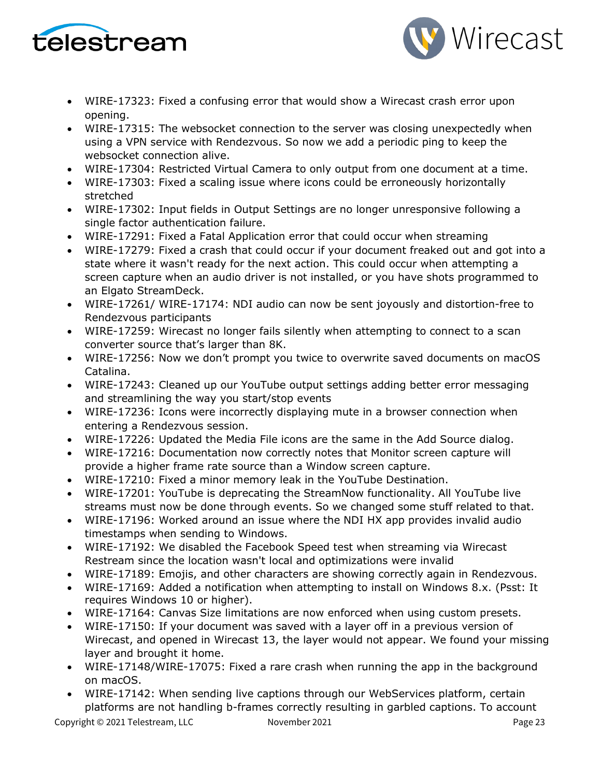



- WIRE-17323: Fixed a confusing error that would show a Wirecast crash error upon opening.
- WIRE-17315: The websocket connection to the server was closing unexpectedly when using a VPN service with Rendezvous. So now we add a periodic ping to keep the websocket connection alive.
- WIRE-17304: Restricted Virtual Camera to only output from one document at a time.
- WIRE-17303: Fixed a scaling issue where icons could be erroneously horizontally stretched
- WIRE-17302: Input fields in Output Settings are no longer unresponsive following a single factor authentication failure.
- WIRE-17291: Fixed a Fatal Application error that could occur when streaming
- WIRE-17279: Fixed a crash that could occur if your document freaked out and got into a state where it wasn't ready for the next action. This could occur when attempting a screen capture when an audio driver is not installed, or you have shots programmed to an Elgato StreamDeck.
- WIRE-17261/ WIRE-17174: NDI audio can now be sent joyously and distortion-free to Rendezvous participants
- WIRE-17259: Wirecast no longer fails silently when attempting to connect to a scan converter source that's larger than 8K.
- WIRE-17256: Now we don't prompt you twice to overwrite saved documents on macOS Catalina.
- WIRE-17243: Cleaned up our YouTube output settings adding better error messaging and streamlining the way you start/stop events
- WIRE-17236: Icons were incorrectly displaying mute in a browser connection when entering a Rendezvous session.
- WIRE-17226: Updated the Media File icons are the same in the Add Source dialog.
- WIRE-17216: Documentation now correctly notes that Monitor screen capture will provide a higher frame rate source than a Window screen capture.
- WIRE-17210: Fixed a minor memory leak in the YouTube Destination.
- WIRE-17201: YouTube is deprecating the StreamNow functionality. All YouTube live streams must now be done through events. So we changed some stuff related to that.
- WIRE-17196: Worked around an issue where the NDI HX app provides invalid audio timestamps when sending to Windows.
- WIRE-17192: We disabled the Facebook Speed test when streaming via Wirecast Restream since the location wasn't local and optimizations were invalid
- WIRE-17189: Emojis, and other characters are showing correctly again in Rendezvous.
- WIRE-17169: Added a notification when attempting to install on Windows 8.x. (Psst: It requires Windows 10 or higher).
- WIRE-17164: Canvas Size limitations are now enforced when using custom presets.
- WIRE-17150: If your document was saved with a layer off in a previous version of Wirecast, and opened in Wirecast 13, the layer would not appear. We found your missing layer and brought it home.
- WIRE-17148/WIRE-17075: Fixed a rare crash when running the app in the background on macOS.
- WIRE-17142: When sending live captions through our WebServices platform, certain platforms are not handling b-frames correctly resulting in garbled captions. To account

Copyright © 2021 Telestream, LLC Movember 2021 November 2021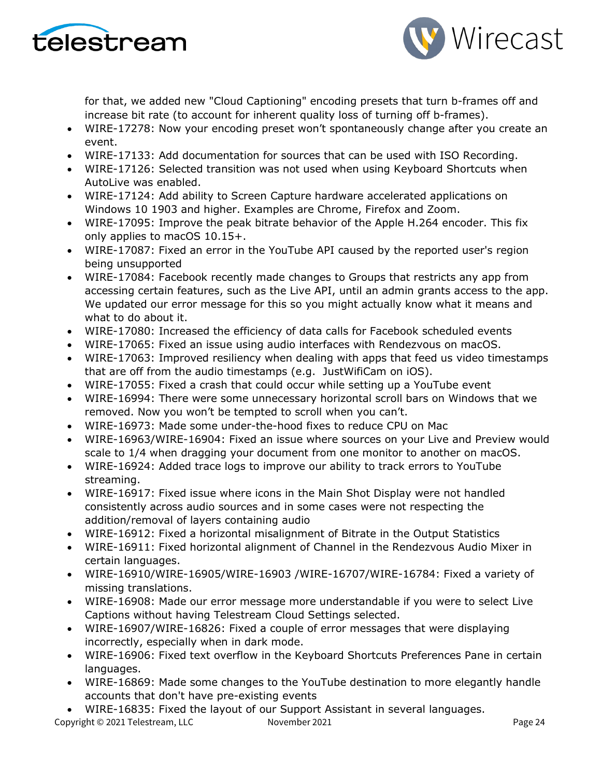



for that, we added new "Cloud Captioning" encoding presets that turn b-frames off and increase bit rate (to account for inherent quality loss of turning off b-frames).

- WIRE-17278: Now your encoding preset won't spontaneously change after you create an event.
- WIRE-17133: Add documentation for sources that can be used with ISO Recording.
- WIRE-17126: Selected transition was not used when using Keyboard Shortcuts when AutoLive was enabled.
- WIRE-17124: Add ability to Screen Capture hardware accelerated applications on Windows 10 1903 and higher. Examples are Chrome, Firefox and Zoom.
- WIRE-17095: Improve the peak bitrate behavior of the Apple H.264 encoder. This fix only applies to macOS 10.15+.
- WIRE-17087: Fixed an error in the YouTube API caused by the reported user's region being unsupported
- WIRE-17084: Facebook recently made changes to Groups that restricts any app from accessing certain features, such as the Live API, until an admin grants access to the app. We updated our error message for this so you might actually know what it means and what to do about it.
- WIRE-17080: Increased the efficiency of data calls for Facebook scheduled events
- WIRE-17065: Fixed an issue using audio interfaces with Rendezvous on macOS.
- WIRE-17063: Improved resiliency when dealing with apps that feed us video timestamps that are off from the audio timestamps (e.g. JustWifiCam on iOS).
- WIRE-17055: Fixed a crash that could occur while setting up a YouTube event
- WIRE-16994: There were some unnecessary horizontal scroll bars on Windows that we removed. Now you won't be tempted to scroll when you can't.
- WIRE-16973: Made some under-the-hood fixes to reduce CPU on Mac
- WIRE-16963/WIRE-16904: Fixed an issue where sources on your Live and Preview would scale to 1/4 when dragging your document from one monitor to another on macOS.
- WIRE-16924: Added trace logs to improve our ability to track errors to YouTube streaming.
- WIRE-16917: Fixed issue where icons in the Main Shot Display were not handled consistently across audio sources and in some cases were not respecting the addition/removal of layers containing audio
- WIRE-16912: Fixed a horizontal misalignment of Bitrate in the Output Statistics
- WIRE-16911: Fixed horizontal alignment of Channel in the Rendezvous Audio Mixer in certain languages.
- WIRE-16910/WIRE-16905/WIRE-16903 /WIRE-16707/WIRE-16784: Fixed a variety of missing translations.
- WIRE-16908: Made our error message more understandable if you were to select Live Captions without having Telestream Cloud Settings selected.
- WIRE-16907/WIRE-16826: Fixed a couple of error messages that were displaying incorrectly, especially when in dark mode.
- WIRE-16906: Fixed text overflow in the Keyboard Shortcuts Preferences Pane in certain languages.
- WIRE-16869: Made some changes to the YouTube destination to more elegantly handle accounts that don't have pre-existing events
- WIRE-16835: Fixed the layout of our Support Assistant in several languages.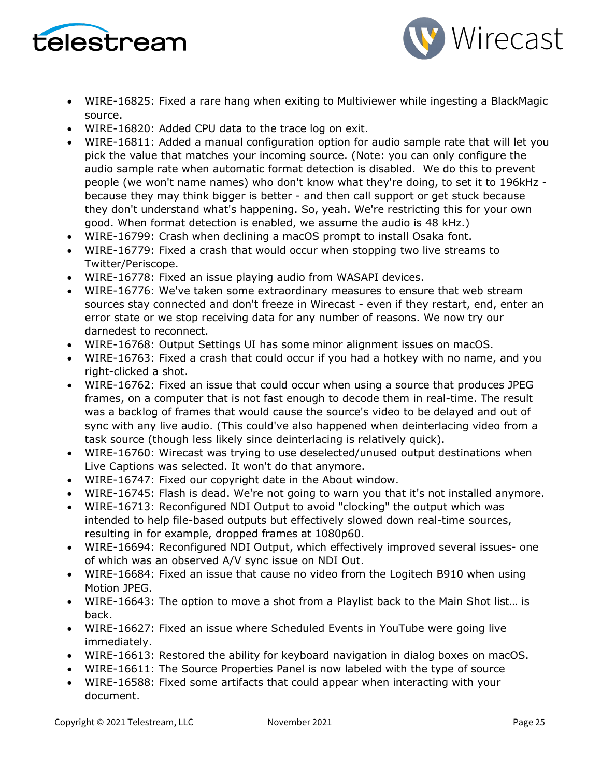



- WIRE-16825: Fixed a rare hang when exiting to Multiviewer while ingesting a BlackMagic source.
- WIRE-16820: Added CPU data to the trace log on exit.
- WIRE-16811: Added a manual configuration option for audio sample rate that will let you pick the value that matches your incoming source. (Note: you can only configure the audio sample rate when automatic format detection is disabled. We do this to prevent people (we won't name names) who don't know what they're doing, to set it to 196kHz because they may think bigger is better - and then call support or get stuck because they don't understand what's happening. So, yeah. We're restricting this for your own good. When format detection is enabled, we assume the audio is 48 kHz.)
- WIRE-16799: Crash when declining a macOS prompt to install Osaka font.
- WIRE-16779: Fixed a crash that would occur when stopping two live streams to Twitter/Periscope.
- WIRE-16778: Fixed an issue playing audio from WASAPI devices.
- WIRE-16776: We've taken some extraordinary measures to ensure that web stream sources stay connected and don't freeze in Wirecast - even if they restart, end, enter an error state or we stop receiving data for any number of reasons. We now try our darnedest to reconnect.
- WIRE-16768: Output Settings UI has some minor alignment issues on macOS.
- WIRE-16763: Fixed a crash that could occur if you had a hotkey with no name, and you right-clicked a shot.
- WIRE-16762: Fixed an issue that could occur when using a source that produces JPEG frames, on a computer that is not fast enough to decode them in real-time. The result was a backlog of frames that would cause the source's video to be delayed and out of sync with any live audio. (This could've also happened when deinterlacing video from a task source (though less likely since deinterlacing is relatively quick).
- WIRE-16760: Wirecast was trying to use deselected/unused output destinations when Live Captions was selected. It won't do that anymore.
- WIRE-16747: Fixed our copyright date in the About window.
- WIRE-16745: Flash is dead. We're not going to warn you that it's not installed anymore.
- WIRE-16713: Reconfigured NDI Output to avoid "clocking" the output which was intended to help file-based outputs but effectively slowed down real-time sources, resulting in for example, dropped frames at 1080p60.
- WIRE-16694: Reconfigured NDI Output, which effectively improved several issues- one of which was an observed A/V sync issue on NDI Out.
- WIRE-16684: Fixed an issue that cause no video from the Logitech B910 when using Motion JPEG.
- WIRE-16643: The option to move a shot from a Playlist back to the Main Shot list… is back.
- WIRE-16627: Fixed an issue where Scheduled Events in YouTube were going live immediately.
- WIRE-16613: Restored the ability for keyboard navigation in dialog boxes on macOS.
- WIRE-16611: The Source Properties Panel is now labeled with the type of source
- WIRE-16588: Fixed some artifacts that could appear when interacting with your document.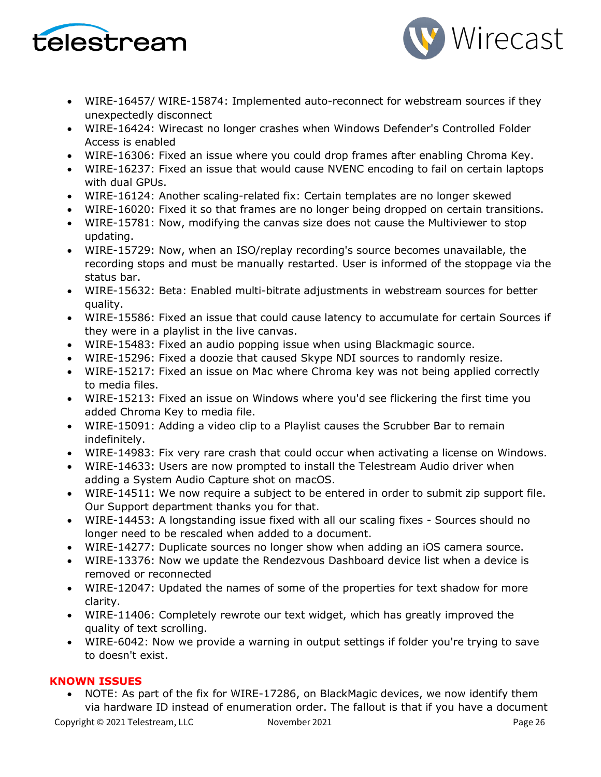



- WIRE-16457/ WIRE-15874: Implemented auto-reconnect for webstream sources if they unexpectedly disconnect
- WIRE-16424: Wirecast no longer crashes when Windows Defender's Controlled Folder Access is enabled
- WIRE-16306: Fixed an issue where you could drop frames after enabling Chroma Key.
- WIRE-16237: Fixed an issue that would cause NVENC encoding to fail on certain laptops with dual GPUs.
- WIRE-16124: Another scaling-related fix: Certain templates are no longer skewed
- WIRE-16020: Fixed it so that frames are no longer being dropped on certain transitions.
- WIRE-15781: Now, modifying the canvas size does not cause the Multiviewer to stop updating.
- WIRE-15729: Now, when an ISO/replay recording's source becomes unavailable, the recording stops and must be manually restarted. User is informed of the stoppage via the status bar.
- WIRE-15632: Beta: Enabled multi-bitrate adjustments in webstream sources for better quality.
- WIRE-15586: Fixed an issue that could cause latency to accumulate for certain Sources if they were in a playlist in the live canvas.
- WIRE-15483: Fixed an audio popping issue when using Blackmagic source.
- WIRE-15296: Fixed a doozie that caused Skype NDI sources to randomly resize.
- WIRE-15217: Fixed an issue on Mac where Chroma key was not being applied correctly to media files.
- WIRE-15213: Fixed an issue on Windows where you'd see flickering the first time you added Chroma Key to media file.
- WIRE-15091: Adding a video clip to a Playlist causes the Scrubber Bar to remain indefinitely.
- WIRE-14983: Fix very rare crash that could occur when activating a license on Windows.
- WIRE-14633: Users are now prompted to install the Telestream Audio driver when adding a System Audio Capture shot on macOS.
- WIRE-14511: We now require a subject to be entered in order to submit zip support file. Our Support department thanks you for that.
- WIRE-14453: A longstanding issue fixed with all our scaling fixes Sources should no longer need to be rescaled when added to a document.
- WIRE-14277: Duplicate sources no longer show when adding an iOS camera source.
- WIRE-13376: Now we update the Rendezvous Dashboard device list when a device is removed or reconnected
- WIRE-12047: Updated the names of some of the properties for text shadow for more clarity.
- WIRE-11406: Completely rewrote our text widget, which has greatly improved the quality of text scrolling.
- WIRE-6042: Now we provide a warning in output settings if folder you're trying to save to doesn't exist.

## **KNOWN ISSUES**

• NOTE: As part of the fix for WIRE-17286, on BlackMagic devices, we now identify them via hardware ID instead of enumeration order. The fallout is that if you have a document

Copyright © 2021 Telestream, LLC November 2021 Copyright © 2021 Page 26